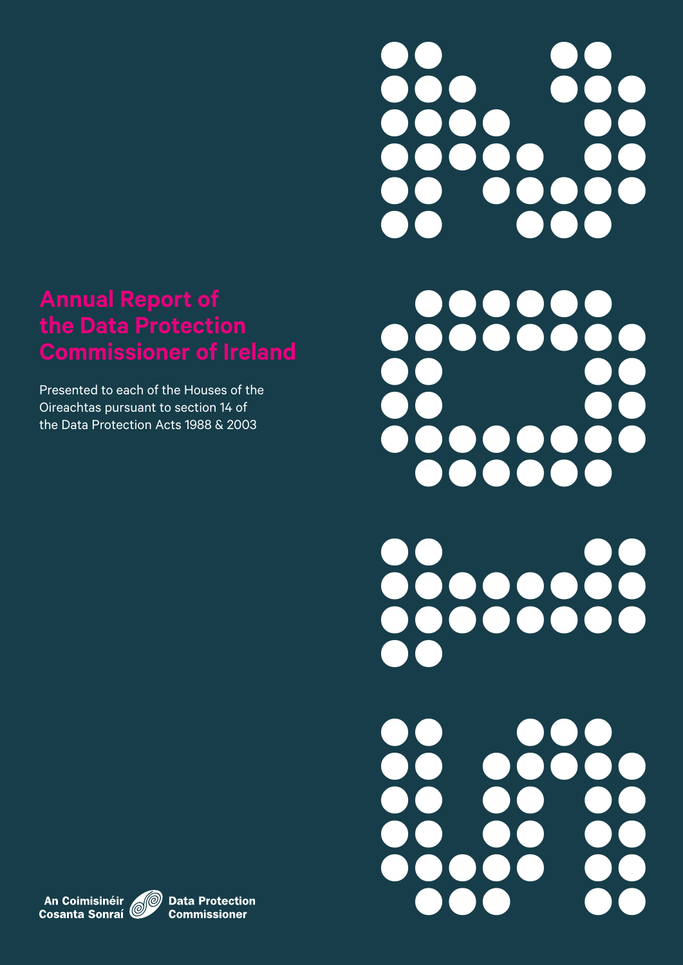# **Annual Report of the Data Protection Commissioner of Ireland**

Presented to each of the Houses of the Oireachtas pursuant to section 14 of the Data Protection Acts 1988 & 2003



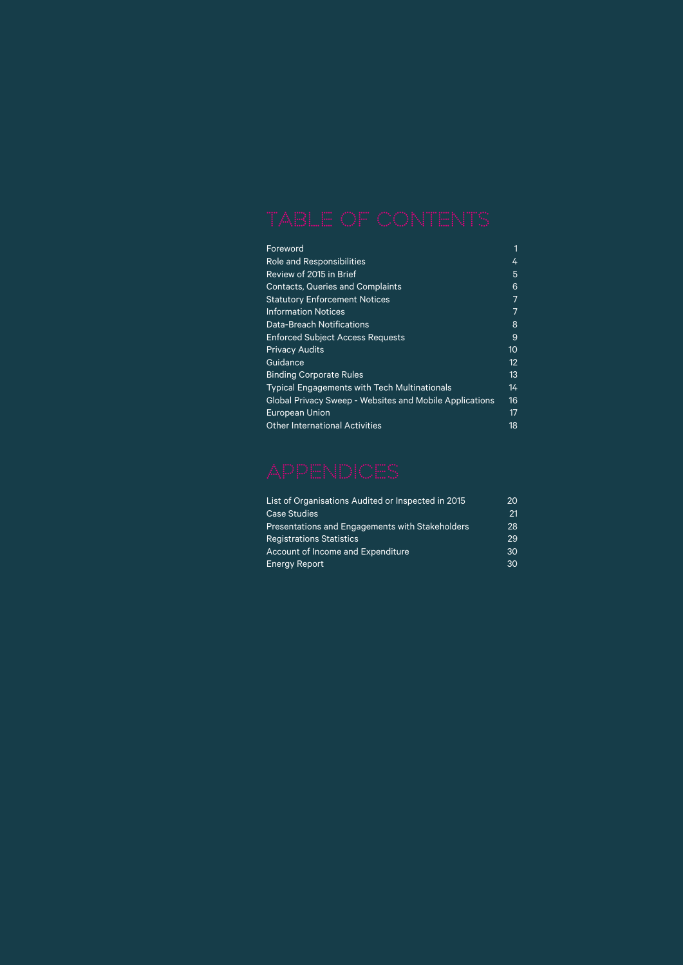| Foreword                                                       |    |
|----------------------------------------------------------------|----|
| <b>Role and Responsibilities</b>                               | 4  |
| Review of 2015 in Brief                                        | 5  |
| <b>Contacts, Queries and Complaints</b>                        | 6  |
| <b>Statutory Enforcement Notices</b>                           | 7  |
| <b>Information Notices</b>                                     | 7  |
| <b>Data-Breach Notifications</b>                               | 8  |
| <b>Enforced Subject Access Requests</b>                        | 9  |
| <b>Privacy Audits</b>                                          | 10 |
| Guidance                                                       | 12 |
| <b>Binding Corporate Rules</b>                                 | 13 |
| <b>Typical Engagements with Tech Multinationals</b>            | 14 |
| <b>Global Privacy Sweep - Websites and Mobile Applications</b> | 16 |
| <b>European Union</b>                                          | 17 |
| <b>Other International Activities</b>                          | 18 |

| List of Organisations Audited or Inspected in 2015 | 20 |
|----------------------------------------------------|----|
| <b>Case Studies</b>                                | 21 |
| Presentations and Engagements with Stakeholders    | 28 |
| <b>Registrations Statistics</b>                    | 29 |
| Account of Income and Expenditure                  | 30 |
| <b>Energy Report</b>                               | 30 |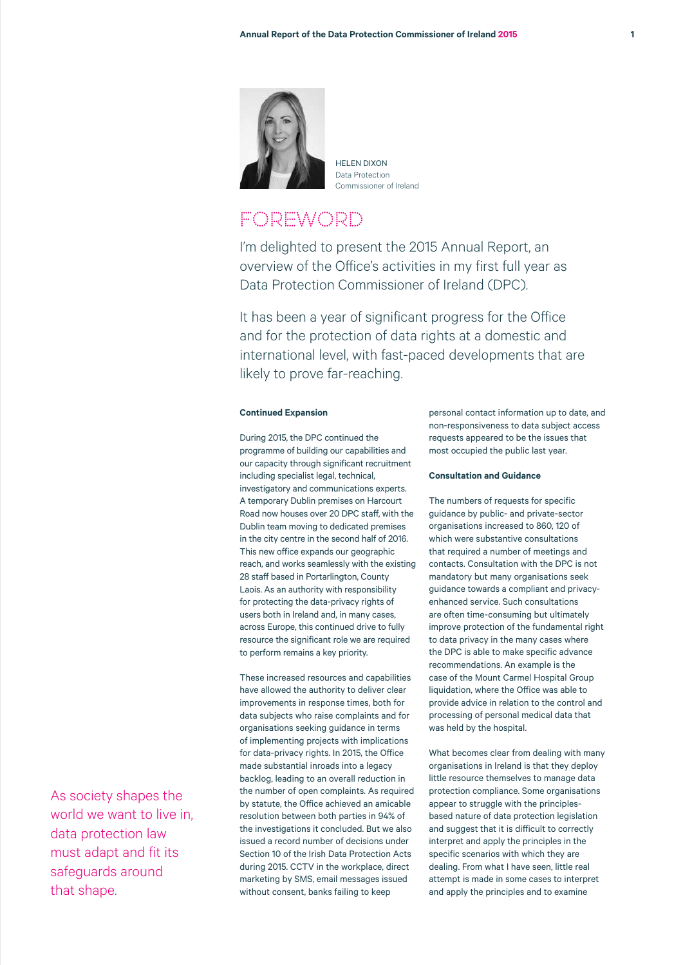

HELEN DIVON Data Protection Commissioner of Ireland

# **FOREWORD**

I'm delighted to present the 2015 Annual Report, an overview of the Office's activities in my first full year as Data Protection Commissioner of Ireland (DPC).

It has been a year of significant progress for the Office and for the protection of data rights at a domestic and international level, with fast-paced developments that are likely to prove far-reaching.

## **Continued Expansion**

During 2015, the DPC continued the programme of building our capabilities and our capacity through significant recruitment including specialist legal, technical, investigatory and communications experts. A temporary Dublin premises on Harcourt Road now houses over 20 DPC staff, with the Dublin team moving to dedicated premises in the city centre in the second half of 2016. This new office expands our geographic reach, and works seamlessly with the existing 28 staff based in Portarlington, County Laois. As an authority with responsibility for protecting the data-privacy rights of users both in Ireland and, in many cases, across Europe, this continued drive to fully resource the significant role we are required to perform remains a key priority.

These increased resources and capabilities have allowed the authority to deliver clear improvements in response times, both for data subjects who raise complaints and for organisations seeking guidance in terms of implementing projects with implications for data-privacy rights. In 2015, the Office made substantial inroads into a legacy backlog, leading to an overall reduction in the number of open complaints. As required by statute, the Office achieved an amicable resolution between both parties in 94% of the investigations it concluded. But we also issued a record number of decisions under Section 10 of the Irish Data Protection Acts during 2015. CCTV in the workplace, direct marketing by SMS, email messages issued without consent, banks failing to keep

personal contact information up to date, and non-responsiveness to data subject access requests appeared to be the issues that most occupied the public last year.

#### **Consultation and Guidance**

The numbers of requests for specific guidance by public- and private-sector organisations increased to 860, 120 of which were substantive consultations that required a number of meetings and contacts. Consultation with the DPC is not mandatory but many organisations seek guidance towards a compliant and privacyenhanced service. Such consultations are often time-consuming but ultimately improve protection of the fundamental right to data privacy in the many cases where the DPC is able to make specific advance recommendations. An example is the case of the Mount Carmel Hospital Group liquidation, where the Office was able to provide advice in relation to the control and processing of personal medical data that was held by the hospital.

What becomes clear from dealing with many organisations in Ireland is that they deploy little resource themselves to manage data protection compliance. Some organisations appear to struggle with the principlesbased nature of data protection legislation and suggest that it is difficult to correctly interpret and apply the principles in the specific scenarios with which they are dealing. From what I have seen, little real attempt is made in some cases to interpret and apply the principles and to examine

As society shapes the world we want to live in, data protection law must adapt and fit its safeguards around that shape.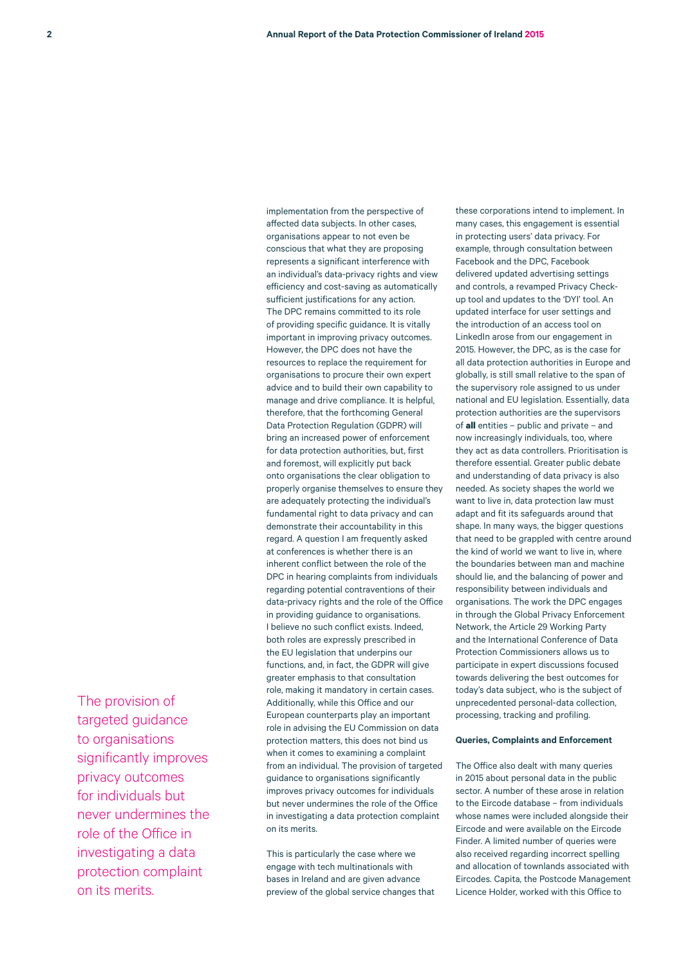The provision of targeted guidance to organisations significantly improves privacy outcomes for individuals but never undermines the role of the Office in investigating a data protection complaint on its merits.

implementation from the perspective of affected data subjects. In other cases, organisations appear to not even be conscious that what they are proposing represents a significant interference with an individual's data-privacy rights and view efficiency and cost-saving as automatically sufficient justifications for any action. The DPC remains committed to its role of providing specific guidance. It is vitally important in improving privacy outcomes. However, the DPC does not have the resources to replace the requirement for organisations to procure their own expert advice and to build their own capability to manage and drive compliance. It is helpful, therefore, that the forthcoming General Data Protection Regulation (GDPR) will bring an increased power of enforcement for data protection authorities, but, first and foremost, will explicitly put back onto organisations the clear obligation to properly organise themselves to ensure they are adequately protecting the individual's fundamental right to data privacy and can demonstrate their accountability in this regard. A question I am frequently asked at conferences is whether there is an inherent conflict between the role of the DPC in hearing complaints from individuals regarding potential contraventions of their data-privacy rights and the role of the Office in providing guidance to organisations. I believe no such conflict exists. Indeed, both roles are expressly prescribed in the EU legislation that underpins our functions, and, in fact, the GDPR will give greater emphasis to that consultation role, making it mandatory in certain cases. Additionally, while this Office and our European counterparts play an important role in advising the EU Commission on data protection matters, this does not bind us when it comes to examining a complaint from an individual. The provision of targeted guidance to organisations significantly improves privacy outcomes for individuals but never undermines the role of the Office in investigating a data protection complaint on its merits.

This is particularly the case where we engage with tech multinationals with bases in Ireland and are given advance preview of the global service changes that these corporations intend to implement. In many cases, this engagement is essential in protecting users' data privacy. For example, through consultation between Facebook and the DPC, Facebook delivered updated advertising settings and controls, a revamped Privacy Checkup tool and updates to the 'DYI' tool. An updated interface for user settings and the introduction of an access tool on LinkedIn arose from our engagement in 2015. However, the DPC, as is the case for all data protection authorities in Europe and globally, is still small relative to the span of the supervisory role assigned to us under national and EU legislation. Essentially, data protection authorities are the supervisors of **all** entities – public and private – and now increasingly individuals, too, where they act as data controllers. Prioritisation is therefore essential. Greater public debate and understanding of data privacy is also needed. As society shapes the world we want to live in, data protection law must adapt and fit its safeguards around that shape. In many ways, the bigger questions that need to be grappled with centre around the kind of world we want to live in, where the boundaries between man and machine should lie, and the balancing of power and responsibility between individuals and organisations. The work the DPC engages in through the Global Privacy Enforcement Network, the Article 29 Working Party and the International Conference of Data Protection Commissioners allows us to participate in expert discussions focused towards delivering the best outcomes for today's data subject, who is the subject of unprecedented personal-data collection, processing, tracking and profiling.

#### **Queries, Complaints and Enforcement**

The Office also dealt with many queries in 2015 about personal data in the public sector. A number of these arose in relation to the Eircode database – from individuals whose names were included alongside their Eircode and were available on the Eircode Finder. A limited number of queries were also received regarding incorrect spelling and allocation of townlands associated with Eircodes. Capita, the Postcode Management Licence Holder, worked with this Office to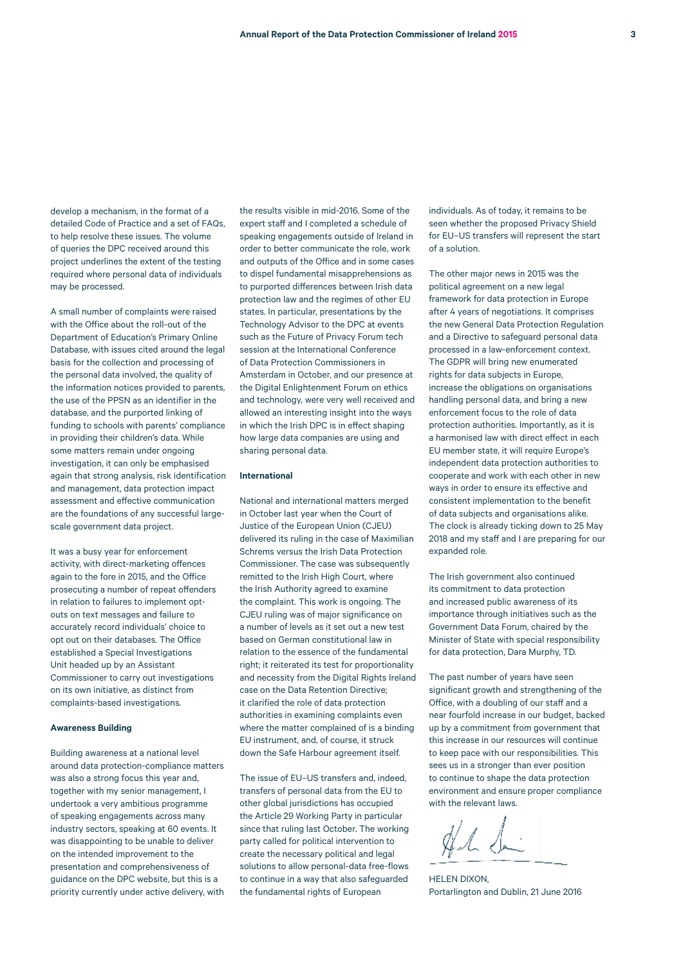develop a mechanism, in the format of a detailed Code of Practice and a set of FAQs, to help resolve these issues. The volume of queries the DPC received around this project underlines the extent of the testing required where personal data of individuals may be processed.

A small number of complaints were raised with the Office about the roll-out of the Department of Education's Primary Online Database, with issues cited around the legal basis for the collection and processing of the personal data involved, the quality of the information notices provided to parents, the use of the PPSN as an identifier in the database, and the purported linking of funding to schools with parents' compliance in providing their children's data. While some matters remain under ongoing investigation, it can only be emphasised again that strong analysis, risk identification and management, data protection impact assessment and effective communication are the foundations of any successful largescale government data project.

It was a busy year for enforcement activity, with direct-marketing offences again to the fore in 2015, and the Office prosecuting a number of repeat offenders in relation to failures to implement optouts on text messages and failure to accurately record individuals' choice to opt out on their databases. The Office established a Special Investigations Unit headed up by an Assistant Commissioner to carry out investigations on its own initiative, as distinct from complaints-based investigations.

#### **Awareness Building**

Building awareness at a national level around data protection-compliance matters was also a strong focus this year and, together with my senior management, I undertook a very ambitious programme of speaking engagements across many industry sectors, speaking at 60 events. It was disappointing to be unable to deliver on the intended improvement to the presentation and comprehensiveness of guidance on the DPC website, but this is a priority currently under active delivery, with the results visible in mid-2016. Some of the expert staff and I completed a schedule of speaking engagements outside of Ireland in order to better communicate the role, work and outputs of the Office and in some cases to dispel fundamental misapprehensions as to purported differences between Irish data protection law and the regimes of other EU states. In particular, presentations by the Technology Advisor to the DPC at events such as the Future of Privacy Forum tech session at the International Conference of Data Protection Commissioners in Amsterdam in October, and our presence at the Digital Enlightenment Forum on ethics and technology, were very well received and allowed an interesting insight into the ways in which the Irish DPC is in effect shaping how large data companies are using and sharing personal data.

#### **International**

National and international matters merged in October last year when the Court of Justice of the European Union (CJEU) delivered its ruling in the case of Maximilian Schrems versus the Irish Data Protection Commissioner. The case was subsequently remitted to the Irish High Court, where the Irish Authority agreed to examine the complaint. This work is ongoing. The CJEU ruling was of major significance on a number of levels as it set out a new test based on German constitutional law in relation to the essence of the fundamental right; it reiterated its test for proportionality and necessity from the Digital Rights Ireland case on the Data Retention Directive; it clarified the role of data protection authorities in examining complaints even where the matter complained of is a binding EU instrument, and, of course, it struck down the Safe Harbour agreement itself.

The issue of EU–US transfers and, indeed, transfers of personal data from the EU to other global jurisdictions has occupied the Article 29 Working Party in particular since that ruling last October. The working party called for political intervention to create the necessary political and legal solutions to allow personal-data free-flows to continue in a way that also safeguarded the fundamental rights of European

individuals. As of today, it remains to be seen whether the proposed Privacy Shield for EU–US transfers will represent the start of a solution.

The other major news in 2015 was the political agreement on a new legal framework for data protection in Europe after 4 years of negotiations. It comprises the new General Data Protection Regulation and a Directive to safeguard personal data processed in a law-enforcement context. The GDPR will bring new enumerated rights for data subjects in Europe, increase the obligations on organisations handling personal data, and bring a new enforcement focus to the role of data protection authorities. Importantly, as it is a harmonised law with direct effect in each EU member state, it will require Europe's independent data protection authorities to cooperate and work with each other in new ways in order to ensure its effective and consistent implementation to the benefit of data subjects and organisations alike. The clock is already ticking down to 25 May 2018 and my staff and I are preparing for our expanded role.

The Irish government also continued its commitment to data protection and increased public awareness of its importance through initiatives such as the Government Data Forum, chaired by the Minister of State with special responsibility for data protection, Dara Murphy, TD.

The past number of years have seen significant growth and strengthening of the Office, with a doubling of our staff and a near fourfold increase in our budget, backed up by a commitment from government that this increase in our resources will continue to keep pace with our responsibilities. This sees us in a stronger than ever position to continue to shape the data protection environment and ensure proper compliance with the relevant laws.

Al di

HELEN DIXON, Portarlington and Dublin, 21 June 2016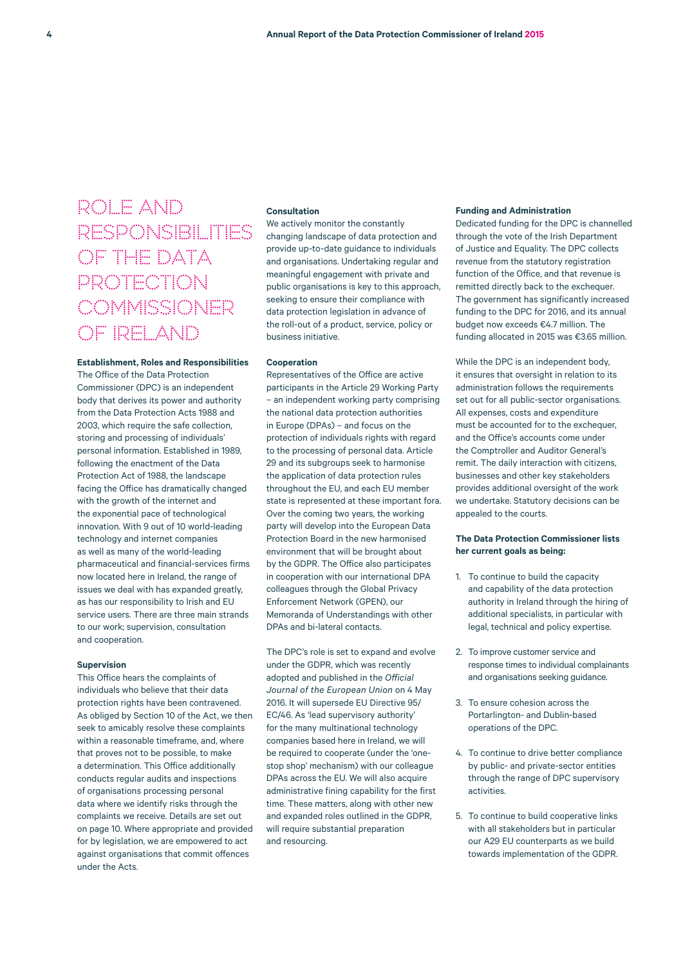# ROLE AND RESPONSIBILITIES OF THE DATA PROTECTION **COMMISSIONER** OF IRELAND

### **Establishment, Roles and Responsibilities**

The Office of the Data Protection Commissioner (DPC) is an independent body that derives its power and authority from the Data Protection Acts 1988 and 2003, which require the safe collection, storing and processing of individuals' personal information. Established in 1989, following the enactment of the Data Protection Act of 1988, the landscape facing the Office has dramatically changed with the growth of the internet and the exponential pace of technological innovation. With 9 out of 10 world-leading technology and internet companies as well as many of the world-leading pharmaceutical and financial-services firms now located here in Ireland, the range of issues we deal with has expanded greatly, as has our responsibility to Irish and EU service users. There are three main strands to our work; supervision, consultation and cooperation.

#### **Supervision**

This Office hears the complaints of individuals who believe that their data protection rights have been contravened. As obliged by Section 10 of the Act, we then seek to amicably resolve these complaints within a reasonable timeframe, and, where that proves not to be possible, to make a determination. This Office additionally conducts regular audits and inspections of organisations processing personal data where we identify risks through the complaints we receive. Details are set out on page 10. Where appropriate and provided for by legislation, we are empowered to act against organisations that commit offences under the Acts.

#### **Consultation**

We actively monitor the constantly changing landscape of data protection and provide up-to-date guidance to individuals and organisations. Undertaking regular and meaningful engagement with private and public organisations is key to this approach, seeking to ensure their compliance with data protection legislation in advance of the roll-out of a product, service, policy or business initiative.

#### **Cooperation**

Representatives of the Office are active participants in the Article 29 Working Party – an independent working party comprising the national data protection authorities in Europe (DPAs) – and focus on the protection of individuals rights with regard to the processing of personal data. Article 29 and its subgroups seek to harmonise the application of data protection rules throughout the EU, and each EU member state is represented at these important fora. Over the coming two years, the working party will develop into the European Data Protection Board in the new harmonised environment that will be brought about by the GDPR. The Office also participates in cooperation with our international DPA colleagues through the Global Privacy Enforcement Network (GPEN), our Memoranda of Understandings with other DPAs and bi-lateral contacts.

The DPC's role is set to expand and evolve under the GDPR, which was recently adopted and published in the *Official Journal of the European Union* on 4 May 2016. It will supersede EU Directive 95/ EC/46. As 'lead supervisory authority' for the many multinational technology companies based here in Ireland, we will be required to cooperate (under the 'onestop shop' mechanism) with our colleague DPAs across the EU. We will also acquire administrative fining capability for the first time. These matters, along with other new and expanded roles outlined in the GDPR, will require substantial preparation and resourcing.

#### **Funding and Administration**

Dedicated funding for the DPC is channelled through the vote of the Irish Department of Justice and Equality. The DPC collects revenue from the statutory registration function of the Office, and that revenue is remitted directly back to the exchequer. The government has significantly increased funding to the DPC for 2016, and its annual budget now exceeds €4.7 million. The funding allocated in 2015 was €3.65 million.

While the DPC is an independent body, it ensures that oversight in relation to its administration follows the requirements set out for all public-sector organisations. All expenses, costs and expenditure must be accounted for to the exchequer. and the Office's accounts come under the Comptroller and Auditor General's remit. The daily interaction with citizens, businesses and other key stakeholders provides additional oversight of the work we undertake. Statutory decisions can be appealed to the courts.

### **The Data Protection Commissioner lists her current goals as being:**

- 1. To continue to build the capacity and capability of the data protection authority in Ireland through the hiring of additional specialists, in particular with legal, technical and policy expertise.
- 2. To improve customer service and response times to individual complainants and organisations seeking guidance.
- 3. To ensure cohesion across the Portarlington- and Dublin-based operations of the DPC.
- 4. To continue to drive better compliance by public- and private-sector entities through the range of DPC supervisory activities.
- 5. To continue to build cooperative links with all stakeholders but in particular our A29 EU counterparts as we build towards implementation of the GDPR.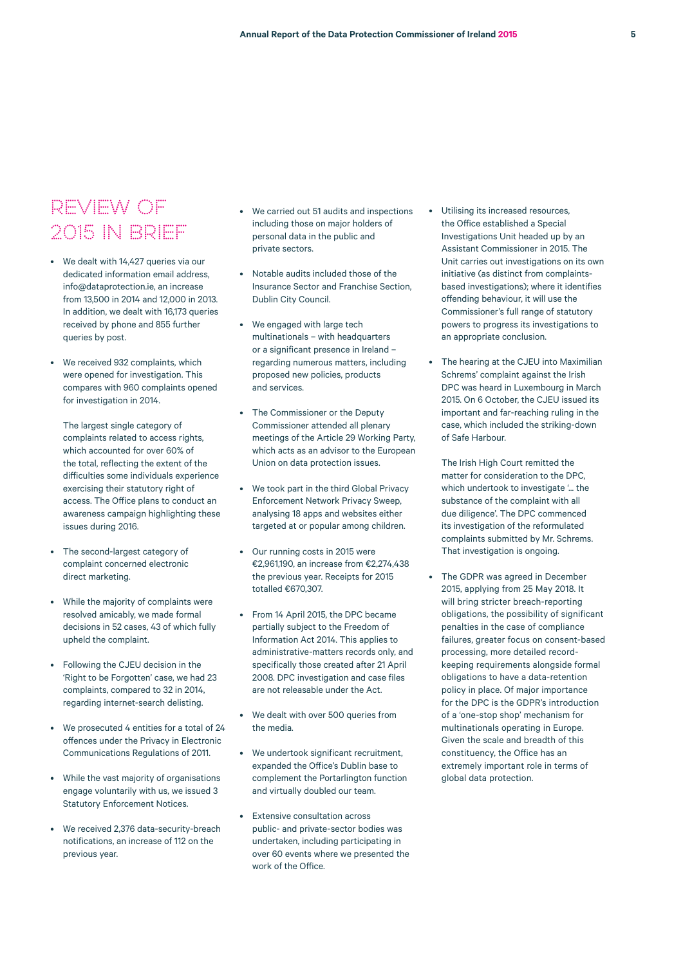# REVIEW OF 2015 IN BRIEF

- We dealt with 14,427 queries via our dedicated information email address, info@dataprotection.ie, an increase from 13,500 in 2014 and 12,000 in 2013. In addition, we dealt with 16,173 queries received by phone and 855 further queries by post.
- We received 932 complaints, which were opened for investigation. This compares with 960 complaints opened for investigation in 2014.

The largest single category of complaints related to access rights, which accounted for over 60% of the total, reflecting the extent of the difficulties some individuals experience exercising their statutory right of access. The Office plans to conduct an awareness campaign highlighting these issues during 2016.

- The second-largest category of complaint concerned electronic direct marketing.
- While the majority of complaints were resolved amicably, we made formal decisions in 52 cases, 43 of which fully upheld the complaint.
- Following the CJEU decision in the 'Right to be Forgotten' case, we had 23 complaints, compared to 32 in 2014, regarding internet-search delisting.
- We prosecuted 4 entities for a total of 24 offences under the Privacy in Electronic Communications Regulations of 2011.
- While the vast majority of organisations engage voluntarily with us, we issued 3 Statutory Enforcement Notices.
- We received 2,376 data-security-breach notifications, an increase of 112 on the previous year.
- We carried out 51 audits and inspections including those on major holders of personal data in the public and private sectors.
- Notable audits included those of the Insurance Sector and Franchise Section, Dublin City Council.
- We engaged with large tech multinationals – with headquarters or a significant presence in Ireland – regarding numerous matters, including proposed new policies, products and services.
- The Commissioner or the Deputy Commissioner attended all plenary meetings of the Article 29 Working Party, which acts as an advisor to the European Union on data protection issues.
- We took part in the third Global Privacy Enforcement Network Privacy Sweep, analysing 18 apps and websites either targeted at or popular among children.
- Our running costs in 2015 were €2,961,190, an increase from €2,274,438 the previous year. Receipts for 2015 totalled €670.307.
- From 14 April 2015, the DPC became partially subject to the Freedom of Information Act 2014. This applies to administrative-matters records only, and specifically those created after 21 April 2008. DPC investigation and case files are not releasable under the Act.
- We dealt with over 500 queries from the media.
- We undertook significant recruitment, expanded the Office's Dublin base to complement the Portarlington function and virtually doubled our team.
- Extensive consultation across public- and private-sector bodies was undertaken, including participating in over 60 events where we presented the work of the Office.
- Utilising its increased resources, the Office established a Special Investigations Unit headed up by an Assistant Commissioner in 2015. The Unit carries out investigations on its own initiative (as distinct from complaintsbased investigations); where it identifies offending behaviour, it will use the Commissioner's full range of statutory powers to progress its investigations to an appropriate conclusion.
- The hearing at the CJEU into Maximilian Schrems' complaint against the Irish DPC was heard in Luxembourg in March 2015. On 6 October, the CJEU issued its important and far-reaching ruling in the case, which included the striking-down of Safe Harbour.

The Irish High Court remitted the matter for consideration to the DPC, which undertook to investigate '... the substance of the complaint with all due diligence'. The DPC commenced its investigation of the reformulated complaints submitted by Mr. Schrems. That investigation is ongoing.

The GDPR was agreed in December 2015, applying from 25 May 2018. It will bring stricter breach-reporting obligations, the possibility of significant penalties in the case of compliance failures, greater focus on consent-based processing, more detailed recordkeeping requirements alongside formal obligations to have a data-retention policy in place. Of major importance for the DPC is the GDPR's introduction of a 'one-stop shop' mechanism for multinationals operating in Europe. Given the scale and breadth of this constituency, the Office has an extremely important role in terms of global data protection.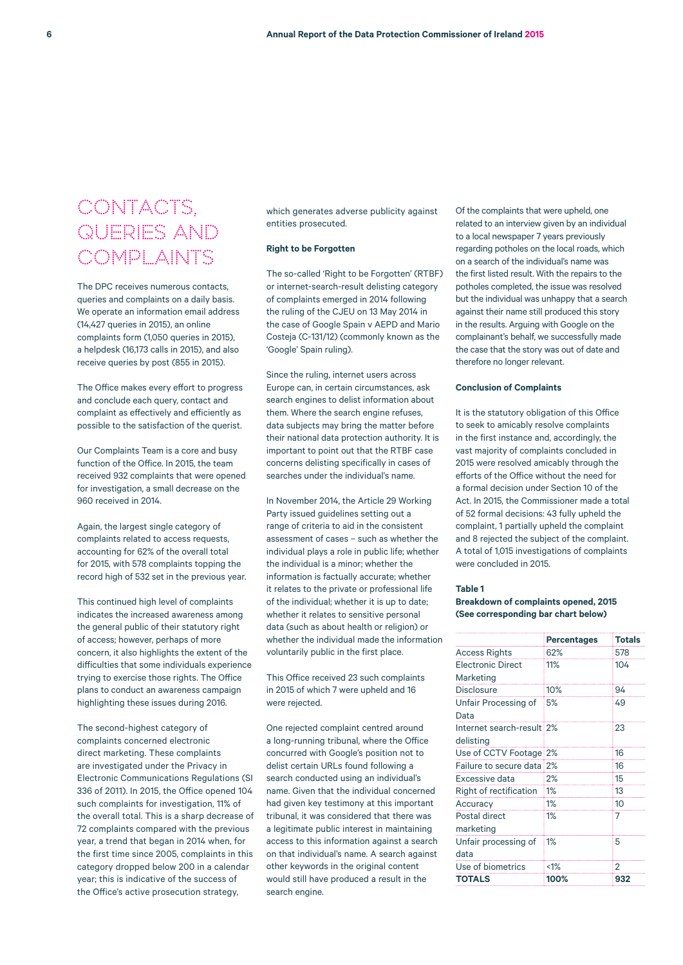# CONTACTS, QUERIES AND COMPLAINTS

The DPC receives numerous contacts, queries and complaints on a daily basis. We operate an information email address (14,427 queries in 2015), an online complaints form (1,050 queries in 2015), a helpdesk (16,173 calls in 2015), and also receive queries by post (855 in 2015).

The Office makes every effort to progress and conclude each query, contact and complaint as effectively and efficiently as possible to the satisfaction of the querist.

Our Complaints Team is a core and busy function of the Office. In 2015, the team received 932 complaints that were opened for investigation, a small decrease on the 960 received in 2014.

Again, the largest single category of complaints related to access requests, accounting for 62% of the overall total for 2015, with 578 complaints topping the record high of 532 set in the previous year.

This continued high level of complaints indicates the increased awareness among the general public of their statutory right of access; however, perhaps of more concern, it also highlights the extent of the difficulties that some individuals experience trying to exercise those rights. The Office plans to conduct an awareness campaign highlighting these issues during 2016.

The second-highest category of complaints concerned electronic direct marketing. These complaints are investigated under the Privacy in Electronic Communications Regulations (SI 336 of 2011). In 2015, the Office opened 104 such complaints for investigation, 11% of the overall total. This is a sharp decrease of 72 complaints compared with the previous year, a trend that began in 2014 when, for the first time since 2005, complaints in this category dropped below 200 in a calendar year; this is indicative of the success of the Office's active prosecution strategy,

which generates adverse publicity against entities prosecuted.

#### **Right to be Forgotten**

The so-called 'Right to be Forgotten' (RTBF) or internet-search-result delisting category of complaints emerged in 2014 following the ruling of the CJEU on 13 May 2014 in the case of Google Spain v AEPD and Mario Costeja (C-131/12) (commonly known as the 'Google' Spain ruling).

Since the ruling, internet users across Europe can, in certain circumstances, ask search engines to delist information about them. Where the search engine refuses, data subjects may bring the matter before their national data protection authority. It is important to point out that the RTBF case concerns delisting specifically in cases of searches under the individual's name.

In November 2014, the Article 29 Working Party issued guidelines setting out a range of criteria to aid in the consistent assessment of cases – such as whether the individual plays a role in public life; whether the individual is a minor; whether the information is factually accurate; whether it relates to the private or professional life of the individual; whether it is up to date; whether it relates to sensitive personal data (such as about health or religion) or whether the individual made the information voluntarily public in the first place.

This Office received 23 such complaints in 2015 of which 7 were upheld and 16 were rejected.

One rejected complaint centred around a long-running tribunal, where the Office concurred with Google's position not to delist certain URLs found following a search conducted using an individual's name. Given that the individual concerned had given key testimony at this important tribunal, it was considered that there was a legitimate public interest in maintaining access to this information against a search on that individual's name. A search against other keywords in the original content would still have produced a result in the search engine.

Of the complaints that were upheld, one related to an interview given by an individual to a local newspaper 7 years previously regarding potholes on the local roads, which on a search of the individual's name was the first listed result. With the repairs to the potholes completed, the issue was resolved but the individual was unhappy that a search against their name still produced this story in the results. Arguing with Google on the complainant's behalf, we successfully made the case that the story was out of date and therefore no longer relevant.

#### **Conclusion of Complaints**

It is the statutory obligation of this Office to seek to amicably resolve complaints in the first instance and, accordingly, the vast majority of complaints concluded in 2015 were resolved amicably through the efforts of the Office without the need for a formal decision under Section 10 of the Act. In 2015, the Commissioner made a total of 52 formal decisions: 43 fully upheld the complaint, 1 partially upheld the complaint and 8 rejected the subject of the complaint. A total of 1,015 investigations of complaints were concluded in 2015.

#### **Table 1**

# **Breakdown of complaints opened, 2015 (See corresponding bar chart below)**

|                           | <b>Percentages</b> | Totals |
|---------------------------|--------------------|--------|
| <b>Access Rights</b>      | 62%                | 578    |
| <b>Electronic Direct</b>  | 11%                | 104    |
| Marketing                 |                    |        |
| <b>Disclosure</b>         | 10%                | 94     |
| Unfair Processing of      | 5%                 | 49     |
| Data                      |                    |        |
| Internet search-result 2% |                    | 23     |
| delisting                 |                    |        |
| Use of CCTV Footage 2%    |                    | 16     |
| Failure to secure data 2% |                    | 16     |
| Excessive data            | 2%                 | 15     |
| Right of rectification    | 1%                 | 13     |
| Accuracy                  | 1%                 | 10     |
| Postal direct             | 1%                 | 7      |
| marketing                 |                    |        |
| Unfair processing of      | 1%                 | 5      |
| data                      |                    |        |
| Use of biometrics         | $< 1\%$            | 2      |
| <b>TOTALS</b>             | 100%               | 932    |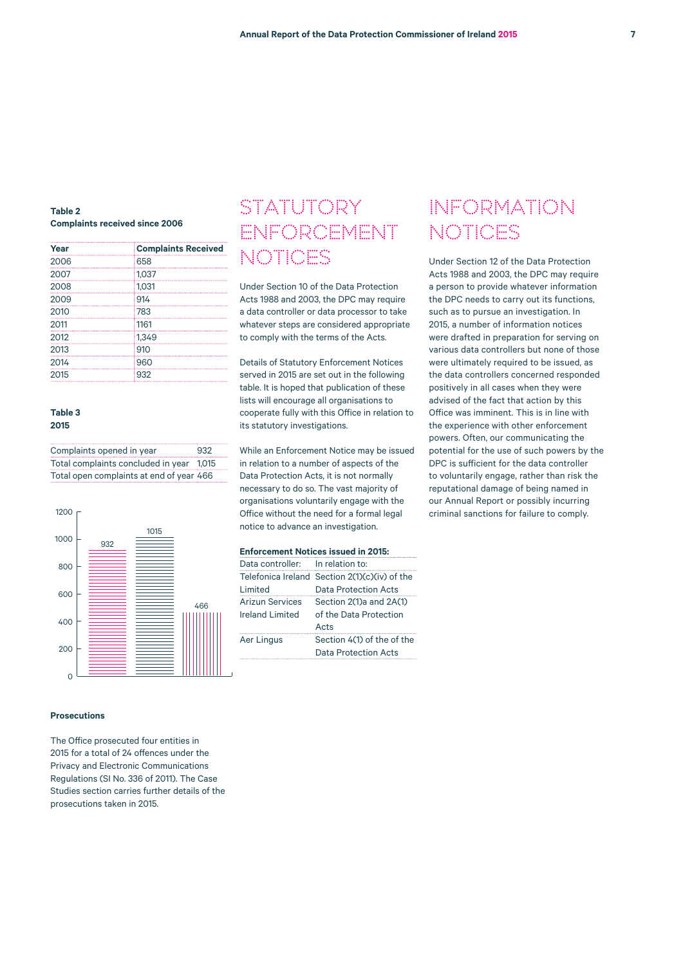# **Table 2 Complaints received since 2006**

| Year | <b>Complaints Received</b> |
|------|----------------------------|
| 2006 | 658                        |
| 2007 | 1,037                      |
| 2008 | 1.031                      |
| 2009 | 914                        |
| 2010 | 783                        |
| 2011 | 1161                       |
| 2012 | 1.349                      |
| 2013 | 910                        |
| 2014 | 960                        |
| 2015 | 932                        |

### **Table 3 2015**

| Complaints opened in year                | 932 |
|------------------------------------------|-----|
| Total complaints concluded in year 1,015 |     |
| Total open complaints at end of year 466 |     |



### **Prosecutions**

The Office prosecuted four entities in 2015 for a total of 24 offences under the Privacy and Electronic Communications Regulations (SI No. 336 of 2011). The Case Studies section carries further details of the prosecutions taken in 2015.

# STATUTORY ENFORCEMENT NOTICES

Under Section 10 of the Data Protection Acts 1988 and 2003, the DPC may require a data controller or data processor to take whatever steps are considered appropriate to comply with the terms of the Acts.

Details of Statutory Enforcement Notices served in 2015 are set out in the following table. It is hoped that publication of these lists will encourage all organisations to cooperate fully with this Office in relation to its statutory investigations.

While an Enforcement Notice may be issued in relation to a number of aspects of the Data Protection Acts, it is not normally necessary to do so. The vast majority of organisations voluntarily engage with the Office without the need for a formal legal notice to advance an investigation.

#### **Enforcement Notices issued in 2015:**

| Data controller: In relation to: |                                               |
|----------------------------------|-----------------------------------------------|
|                                  | Telefonica Ireland Section 2(1)(c)(iv) of the |
| Limited                          | Data Protection Acts                          |
| <b>Arizun Services</b>           | Section 2(1)a and 2A(1)                       |
| <b>Ireland Limited</b>           | of the Data Protection                        |
|                                  | Acts                                          |
| Aer Lingus                       | Section 4(1) of the of the                    |
|                                  | Data Protection Acts                          |

# INFORMATION NOTICES

Under Section 12 of the Data Protection Acts 1988 and 2003, the DPC may require a person to provide whatever information the DPC needs to carry out its functions, such as to pursue an investigation. In 2015, a number of information notices were drafted in preparation for serving on various data controllers but none of those were ultimately required to be issued, as the data controllers concerned responded positively in all cases when they were advised of the fact that action by this Office was imminent. This is in line with the experience with other enforcement powers. Often, our communicating the potential for the use of such powers by the DPC is sufficient for the data controller to voluntarily engage, rather than risk the reputational damage of being named in our Annual Report or possibly incurring criminal sanctions for failure to comply.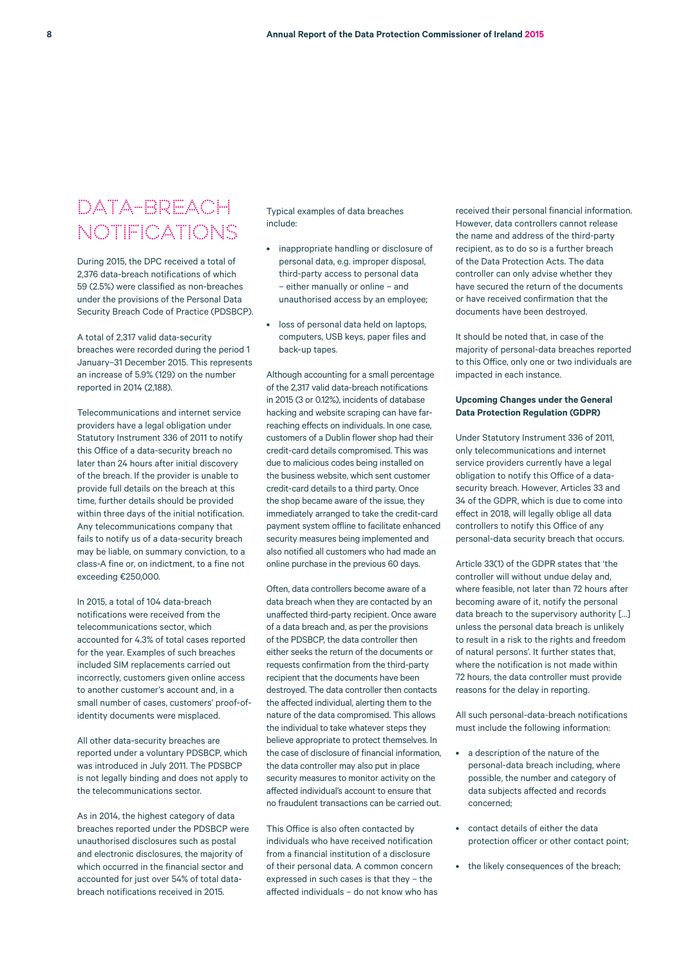# DATA-BREACH NOTIFICATIONS

During 2015, the DPC received a total of 2,376 data-breach notifications of which 59 (2.5%) were classified as non-breaches under the provisions of the Personal Data Security Breach Code of Practice (PDSBCP).

A total of 2,317 valid data-security breaches were recorded during the period 1 January–31 December 2015. This represents an increase of 5.9% (129) on the number reported in 2014 (2,188).

Telecommunications and internet service providers have a legal obligation under Statutory Instrument 336 of 2011 to notify this Office of a data-security breach no later than 24 hours after initial discovery of the breach. If the provider is unable to provide full details on the breach at this time, further details should be provided within three days of the initial notification. Any telecommunications company that fails to notify us of a data-security breach may be liable, on summary conviction, to a class-A fine or, on indictment, to a fine not exceeding €250,000.

In 2015, a total of 104 data-breach notifications were received from the telecommunications sector, which accounted for 4.3% of total cases reported for the year. Examples of such breaches included SIM replacements carried out incorrectly, customers given online access to another customer's account and, in a small number of cases, customers' proof-ofidentity documents were misplaced.

All other data-security breaches are reported under a voluntary PDSBCP, which was introduced in July 2011. The PDSBCP is not legally binding and does not apply to the telecommunications sector.

As in 2014, the highest category of data breaches reported under the PDSBCP were unauthorised disclosures such as postal and electronic disclosures, the majority of which occurred in the financial sector and accounted for just over 54% of total databreach notifications received in 2015.

Typical examples of data breaches include:

- inappropriate handling or disclosure of personal data, e.g. improper disposal, third-party access to personal data – either manually or online – and unauthorised access by an employee;
- loss of personal data held on laptops, computers, USB keys, paper files and back-up tapes.

Although accounting for a small percentage of the 2,317 valid data-breach notifications in 2015 (3 or 0.12%), incidents of database hacking and website scraping can have farreaching effects on individuals. In one case, customers of a Dublin flower shop had their credit-card details compromised. This was due to malicious codes being installed on the business website, which sent customer credit-card details to a third party. Once the shop became aware of the issue, they immediately arranged to take the credit-card payment system offline to facilitate enhanced security measures being implemented and also notified all customers who had made an online purchase in the previous 60 days.

Often, data controllers become aware of a data breach when they are contacted by an unaffected third-party recipient. Once aware of a data breach and, as per the provisions of the PDSBCP, the data controller then either seeks the return of the documents or requests confirmation from the third-party recipient that the documents have been destroyed. The data controller then contacts the affected individual, alerting them to the nature of the data compromised. This allows the individual to take whatever steps they believe appropriate to protect themselves. In the case of disclosure of financial information, the data controller may also put in place security measures to monitor activity on the affected individual's account to ensure that no fraudulent transactions can be carried out.

This Office is also often contacted by individuals who have received notification from a financial institution of a disclosure of their personal data. A common concern expressed in such cases is that they – the affected individuals – do not know who has received their personal financial information. However, data controllers cannot release the name and address of the third-party recipient, as to do so is a further breach of the Data Protection Acts. The data controller can only advise whether they have secured the return of the documents or have received confirmation that the documents have been destroyed.

It should be noted that, in case of the majority of personal-data breaches reported to this Office, only one or two individuals are impacted in each instance.

# **Upcoming Changes under the General Data Protection Regulation (GDPR)**

Under Statutory Instrument 336 of 2011, only telecommunications and internet service providers currently have a legal obligation to notify this Office of a datasecurity breach. However, Articles 33 and 34 of the GDPR, which is due to come into effect in 2018, will legally oblige all data controllers to notify this Office of any personal-data security breach that occurs.

Article 33(1) of the GDPR states that 'the controller will without undue delay and, where feasible, not later than 72 hours after becoming aware of it, notify the personal data breach to the supervisory authority […] unless the personal data breach is unlikely to result in a risk to the rights and freedom of natural persons'. It further states that, where the notification is not made within 72 hours, the data controller must provide reasons for the delay in reporting.

All such personal-data-breach notifications must include the following information:

- a description of the nature of the personal-data breach including, where possible, the number and category of data subjects affected and records concerned;
- contact details of either the data protection officer or other contact point;
- the likely consequences of the breach;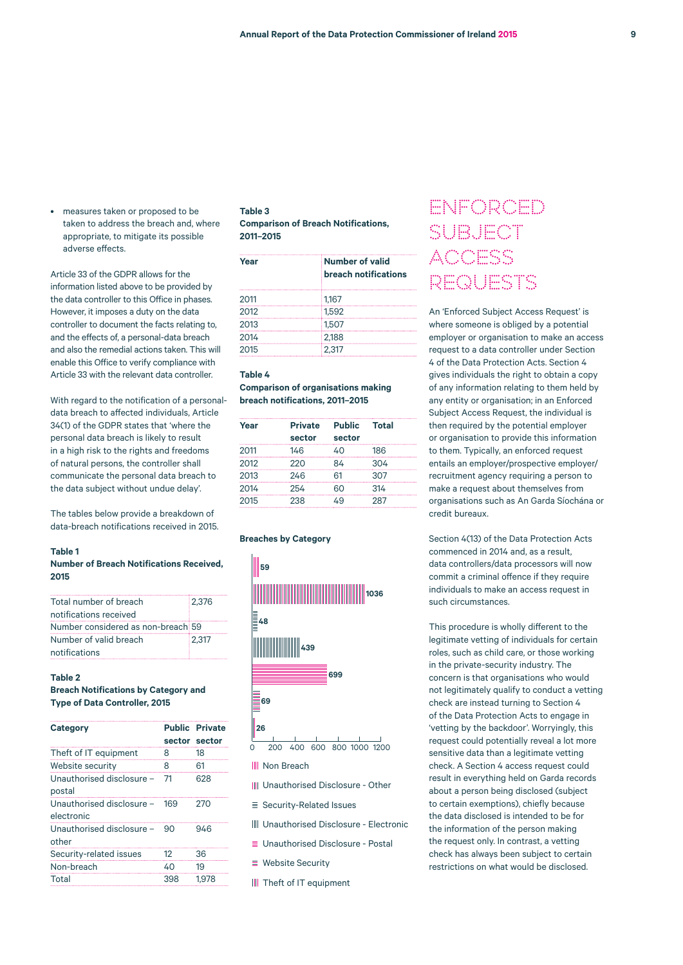• measures taken or proposed to be taken to address the breach and, where appropriate, to mitigate its possible adverse effects.

Article 33 of the GDPR allows for the information listed above to be provided by the data controller to this Office in phases. However, it imposes a duty on the data controller to document the facts relating to, and the effects of, a personal-data breach and also the remedial actions taken. This will enable this Office to verify compliance with Article 33 with the relevant data controller.

With regard to the notification of a personaldata breach to affected individuals, Article 34(1) of the GDPR states that 'where the personal data breach is likely to result in a high risk to the rights and freedoms of natural persons, the controller shall communicate the personal data breach to the data subject without undue delay'.

The tables below provide a breakdown of data-breach notifications received in 2015.

### **Table 1**

# **Number of Breach Notifications Received, 2015**

| Total number of breach             | 12.376 |
|------------------------------------|--------|
| notifications received             |        |
| Number considered as non-breach 59 |        |
| Number of valid breach             | 12.317 |
| notifications                      |        |

# **Table 2**

### **Breach Notifications by Category and Type of Data Controller, 2015**

| Category                                |     | <b>Public Private</b><br>sector sector |
|-----------------------------------------|-----|----------------------------------------|
| Theft of IT equipment                   | 8   | 18                                     |
| Website security                        | 8   | 61                                     |
| Unauthorised disclosure -<br>postal     | 71  | 628                                    |
| Unauthorised disclosure -<br>electronic | 169 | 270                                    |
| Unauthorised disclosure -<br>other      | 90  | 946                                    |
| Security-related issues                 | 12  | 36                                     |
| Non-breach                              | 40  | 19                                     |
| Total                                   | 398 | 1.978                                  |

### **Table 3 Comparison of Breach Notifications, 2011–2015**

| Year | <b>Number of valid</b><br><b>breach notifications</b> |
|------|-------------------------------------------------------|
| 2011 | 1.167                                                 |
| 2012 | 1.592                                                 |
| 2013 | 1.507                                                 |
| 2014 | 2.188                                                 |
| 2015 | 2.317                                                 |

# **Table 4**

## **Comparison of organisations making breach notifications, 2011–2015**

| Year | <b>Private</b> | <b>Public</b> | <b>Total</b> |
|------|----------------|---------------|--------------|
|      | sector         | sector        |              |
| 2011 | 146            | 40            | 186          |
| 2012 | 220            | 84            | 304          |
| 2013 | 246            | 61            | 307          |
| 2014 | 254            | 60            | 314          |
| 2015 | 238            | 49            | 287          |

#### **Breaches by Category**



**III** Non Breach

- **III** Unauthorised Disclosure Other
- $\equiv$  Security-Related Issues
- Unauthorised Disclosure Electronic
- Unauthorised Disclosure Postal
- $\equiv$  Website Security
- III Theft of IT equipment

# ENFORCED SUBJECT ACCESS REQUESTS

An 'Enforced Subject Access Request' is where someone is obliged by a potential employer or organisation to make an access request to a data controller under Section 4 of the Data Protection Acts. Section 4 gives individuals the right to obtain a copy of any information relating to them held by any entity or organisation; in an Enforced Subject Access Request, the individual is then required by the potential employer or organisation to provide this information to them. Typically, an enforced request entails an employer/prospective employer/ recruitment agency requiring a person to make a request about themselves from organisations such as An Garda Síochána or credit bureaux.

Section 4(13) of the Data Protection Acts commenced in 2014 and, as a result, data controllers/data processors will now commit a criminal offence if they require individuals to make an access request in such circumstances.

This procedure is wholly different to the legitimate vetting of individuals for certain roles, such as child care, or those working in the private-security industry. The concern is that organisations who would not legitimately qualify to conduct a vetting check are instead turning to Section 4 of the Data Protection Acts to engage in 'vetting by the backdoor'. Worryingly, this request could potentially reveal a lot more sensitive data than a legitimate vetting check. A Section 4 access request could result in everything held on Garda records about a person being disclosed (subject to certain exemptions), chiefly because the data disclosed is intended to be for the information of the person making the request only. In contrast, a vetting check has always been subject to certain restrictions on what would be disclosed.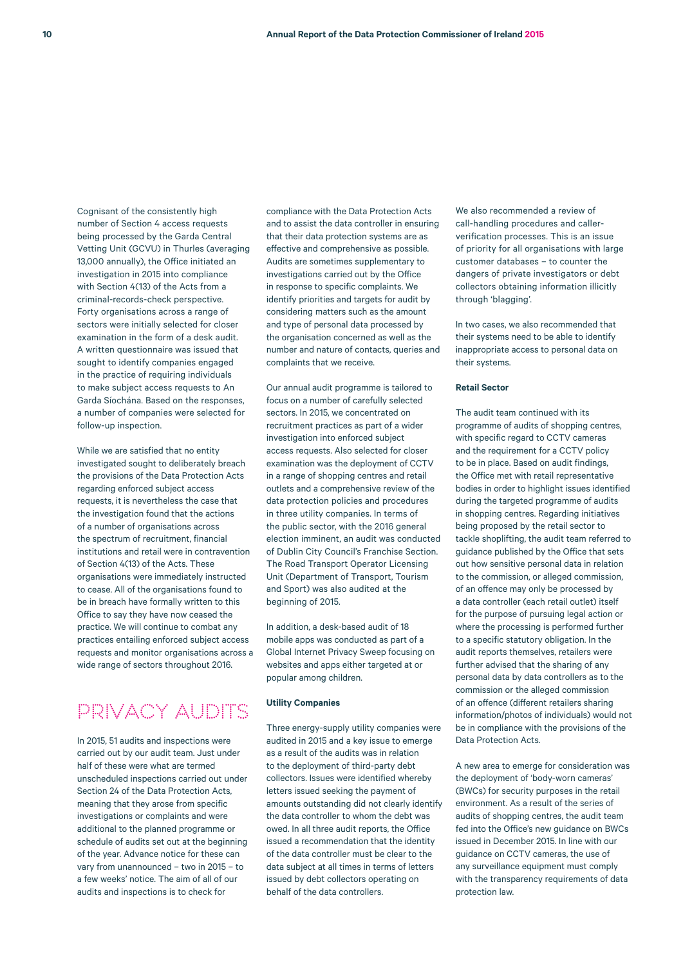Cognisant of the consistently high number of Section 4 access requests being processed by the Garda Central Vetting Unit (GCVU) in Thurles (averaging 13,000 annually), the Office initiated an investigation in 2015 into compliance with Section 4(13) of the Acts from a criminal-records-check perspective. Forty organisations across a range of sectors were initially selected for closer examination in the form of a desk audit. A written questionnaire was issued that sought to identify companies engaged in the practice of requiring individuals to make subject access requests to An Garda Síochána. Based on the responses, a number of companies were selected for follow-up inspection.

While we are satisfied that no entity investigated sought to deliberately breach the provisions of the Data Protection Acts regarding enforced subject access requests, it is nevertheless the case that the investigation found that the actions of a number of organisations across the spectrum of recruitment, financial institutions and retail were in contravention of Section 4(13) of the Acts. These organisations were immediately instructed to cease. All of the organisations found to be in breach have formally written to this Office to say they have now ceased the practice. We will continue to combat any practices entailing enforced subject access requests and monitor organisations across a wide range of sectors throughout 2016.

# PRIVACY AUDITS

In 2015, 51 audits and inspections were carried out by our audit team. Just under half of these were what are termed unscheduled inspections carried out under Section 24 of the Data Protection Acts, meaning that they arose from specific investigations or complaints and were additional to the planned programme or schedule of audits set out at the beginning of the year. Advance notice for these can vary from unannounced – two in 2015 – to a few weeks' notice. The aim of all of our audits and inspections is to check for

compliance with the Data Protection Acts and to assist the data controller in ensuring that their data protection systems are as effective and comprehensive as possible. Audits are sometimes supplementary to investigations carried out by the Office in response to specific complaints. We identify priorities and targets for audit by considering matters such as the amount and type of personal data processed by the organisation concerned as well as the number and nature of contacts, queries and complaints that we receive.

Our annual audit programme is tailored to focus on a number of carefully selected sectors. In 2015, we concentrated on recruitment practices as part of a wider investigation into enforced subject access requests. Also selected for closer examination was the deployment of CCTV in a range of shopping centres and retail outlets and a comprehensive review of the data protection policies and procedures in three utility companies. In terms of the public sector, with the 2016 general election imminent, an audit was conducted of Dublin City Council's Franchise Section. The Road Transport Operator Licensing Unit (Department of Transport, Tourism and Sport) was also audited at the beginning of 2015.

In addition, a desk-based audit of 18 mobile apps was conducted as part of a Global Internet Privacy Sweep focusing on websites and apps either targeted at or popular among children.

# **Utility Companies**

Three energy-supply utility companies were audited in 2015 and a key issue to emerge as a result of the audits was in relation to the deployment of third-party debt collectors. Issues were identified whereby letters issued seeking the payment of amounts outstanding did not clearly identify the data controller to whom the debt was owed. In all three audit reports, the Office issued a recommendation that the identity of the data controller must be clear to the data subject at all times in terms of letters issued by debt collectors operating on behalf of the data controllers.

We also recommended a review of call-handling procedures and callerverification processes. This is an issue of priority for all organisations with large customer databases – to counter the dangers of private investigators or debt collectors obtaining information illicitly through 'blagging'.

In two cases, we also recommended that their systems need to be able to identify inappropriate access to personal data on their systems.

#### **Retail Sector**

The audit team continued with its programme of audits of shopping centres, with specific regard to CCTV cameras and the requirement for a CCTV policy to be in place. Based on audit findings, the Office met with retail representative bodies in order to highlight issues identified during the targeted programme of audits in shopping centres. Regarding initiatives being proposed by the retail sector to tackle shoplifting, the audit team referred to guidance published by the Office that sets out how sensitive personal data in relation to the commission, or alleged commission, of an offence may only be processed by a data controller (each retail outlet) itself for the purpose of pursuing legal action or where the processing is performed further to a specific statutory obligation. In the audit reports themselves, retailers were further advised that the sharing of any personal data by data controllers as to the commission or the alleged commission of an offence (different retailers sharing information/photos of individuals) would not be in compliance with the provisions of the Data Protection Acts.

A new area to emerge for consideration was the deployment of 'body-worn cameras' (BWCs) for security purposes in the retail environment. As a result of the series of audits of shopping centres, the audit team fed into the Office's new guidance on BWCs issued in December 2015. In line with our guidance on CCTV cameras, the use of any surveillance equipment must comply with the transparency requirements of data protection law.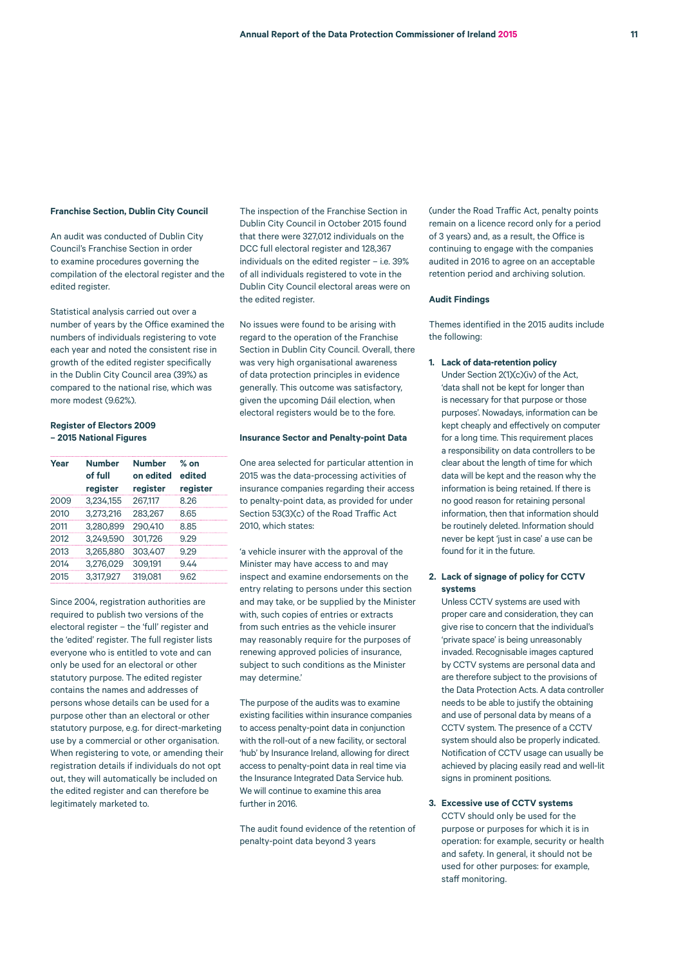#### **Franchise Section, Dublin City Council**

An audit was conducted of Dublin City Council's Franchise Section in order to examine procedures governing the compilation of the electoral register and the edited register.

Statistical analysis carried out over a number of years by the Office examined the numbers of individuals registering to vote each year and noted the consistent rise in growth of the edited register specifically in the Dublin City Council area (39%) as compared to the national rise, which was more modest (962%)

### **Register of Electors 2009 – 2015 National Figures**

| Year | <b>Number</b><br>of full<br>register | <b>Number</b><br>on edited<br>register | $%$ on<br>edited<br>register |
|------|--------------------------------------|----------------------------------------|------------------------------|
| 2009 | 3.234.155                            | 267.117                                | 8.26                         |
| 2010 | 3,273,216                            | 283,267                                | 8.65                         |
| 2011 | 3.280.899                            | 290,410                                | 8.85                         |
| 2012 | 3.249.590                            | 301,726                                | 9.29                         |
| 2013 | 3,265,880                            | 303,407                                | 9.29                         |
| 2014 | 3,276,029                            | 309,191                                | 9.44                         |
| 2015 | 3.317.927                            | 319.081                                | 9.62                         |
|      |                                      |                                        |                              |

Since 2004, registration authorities are required to publish two versions of the electoral register – the 'full' register and the 'edited' register. The full register lists everyone who is entitled to vote and can only be used for an electoral or other statutory purpose. The edited register contains the names and addresses of persons whose details can be used for a purpose other than an electoral or other statutory purpose, e.g. for direct-marketing use by a commercial or other organisation. When registering to vote, or amending their registration details if individuals do not opt out, they will automatically be included on the edited register and can therefore be legitimately marketed to.

The inspection of the Franchise Section in Dublin City Council in October 2015 found that there were 327,012 individuals on the DCC full electoral register and 128,367 individuals on the edited register – i.e. 39% of all individuals registered to vote in the Dublin City Council electoral areas were on the edited register.

No issues were found to be arising with regard to the operation of the Franchise Section in Dublin City Council. Overall, there was very high organisational awareness of data protection principles in evidence generally. This outcome was satisfactory, given the upcoming Dáil election, when electoral registers would be to the fore.

#### **Insurance Sector and Penalty-point Data**

One area selected for particular attention in 2015 was the data-processing activities of insurance companies regarding their access to penalty-point data, as provided for under Section 53(3)(c) of the Road Traffic Act 2010, which states:

'a vehicle insurer with the approval of the Minister may have access to and may inspect and examine endorsements on the entry relating to persons under this section and may take, or be supplied by the Minister with, such copies of entries or extracts from such entries as the vehicle insurer may reasonably require for the purposes of renewing approved policies of insurance, subject to such conditions as the Minister may determine.'

The purpose of the audits was to examine existing facilities within insurance companies to access penalty-point data in conjunction with the roll-out of a new facility, or sectoral 'hub' by Insurance Ireland, allowing for direct access to penalty-point data in real time via the Insurance Integrated Data Service hub. We will continue to examine this area further in 2016.

The audit found evidence of the retention of penalty-point data beyond 3 years

(under the Road Traffic Act, penalty points remain on a licence record only for a period of 3 years) and, as a result, the Office is continuing to engage with the companies audited in 2016 to agree on an acceptable retention period and archiving solution.

#### **Audit Findings**

Themes identified in the 2015 audits include the following:

#### **1. Lack of data-retention policy**

Under Section 2(1)(c)(iv) of the Act, 'data shall not be kept for longer than is necessary for that purpose or those purposes'. Nowadays, information can be kept cheaply and effectively on computer for a long time. This requirement places a responsibility on data controllers to be clear about the length of time for which data will be kept and the reason why the information is being retained. If there is no good reason for retaining personal information, then that information should be routinely deleted. Information should never be kept 'just in case' a use can be found for it in the future.

### **2. Lack of signage of policy for CCTV systems**

Unless CCTV systems are used with proper care and consideration, they can give rise to concern that the individual's 'private space' is being unreasonably invaded. Recognisable images captured by CCTV systems are personal data and are therefore subject to the provisions of the Data Protection Acts. A data controller needs to be able to justify the obtaining and use of personal data by means of a CCTV system. The presence of a CCTV system should also be properly indicated. Notification of CCTV usage can usually be achieved by placing easily read and well-lit signs in prominent positions.

**3. Excessive use of CCTV systems** CCTV should only be used for the purpose or purposes for which it is in operation: for example, security or health and safety. In general, it should not be used for other purposes: for example, staff monitoring.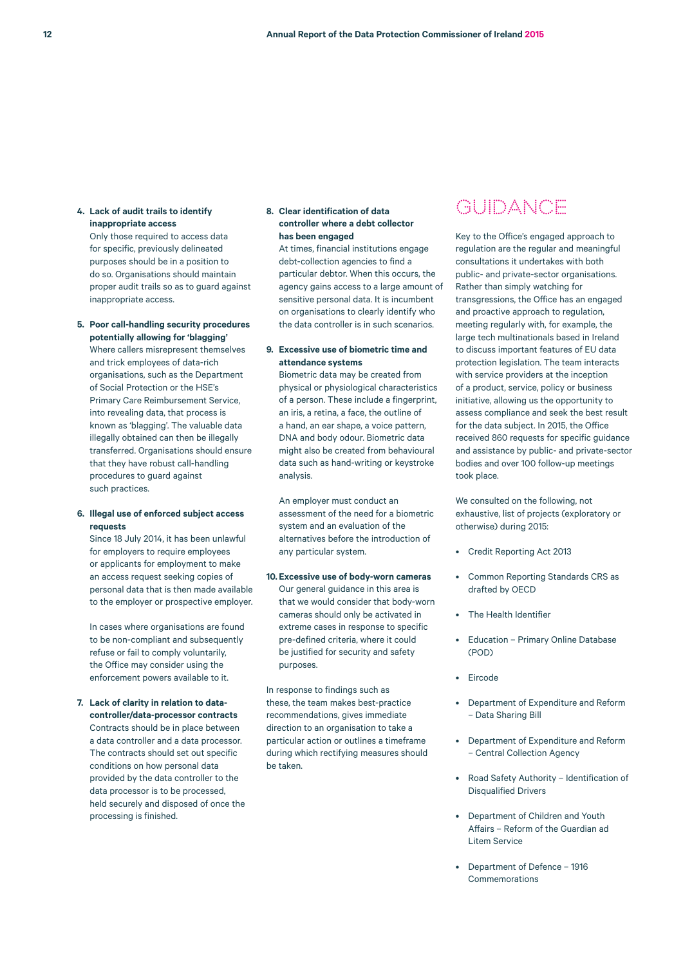# **4. Lack of audit trails to identify inappropriate access**

Only those required to access data for specific, previously delineated purposes should be in a position to do so. Organisations should maintain proper audit trails so as to guard against inappropriate access.

# **5. Poor call-handling security procedures potentially allowing for 'blagging'** Where callers misrepresent themselves and trick employees of data-rich organisations, such as the Department of Social Protection or the HSE's Primary Care Reimbursement Service, into revealing data, that process is known as 'blagging'. The valuable data illegally obtained can then be illegally

transferred. Organisations should ensure that they have robust call-handling procedures to guard against such practices.

#### **6. Illegal use of enforced subject access requests**

Since 18 July 2014, it has been unlawful for employers to require employees or applicants for employment to make an access request seeking copies of personal data that is then made available to the employer or prospective employer.

In cases where organisations are found to be non-compliant and subsequently refuse or fail to comply voluntarily, the Office may consider using the enforcement powers available to it.

# **7. Lack of clarity in relation to datacontroller/data-processor contracts** Contracts should be in place between a data controller and a data processor. The contracts should set out specific conditions on how personal data provided by the data controller to the data processor is to be processed, held securely and disposed of once the processing is finished.

# **8. Clear identification of data controller where a debt collector has been engaged**

At times, financial institutions engage debt-collection agencies to find a particular debtor. When this occurs, the agency gains access to a large amount of sensitive personal data. It is incumbent on organisations to clearly identify who the data controller is in such scenarios.

# **9. Excessive use of biometric time and attendance systems**

Biometric data may be created from physical or physiological characteristics of a person. These include a fingerprint, an iris, a retina, a face, the outline of a hand, an ear shape, a voice pattern, DNA and body odour. Biometric data might also be created from behavioural data such as hand-writing or keystroke analysis.

An employer must conduct an assessment of the need for a biometric system and an evaluation of the alternatives before the introduction of any particular system.

# **10. Excessive use of body-worn cameras** Our general guidance in this area is that we would consider that body-worn cameras should only be activated in extreme cases in response to specific pre-defined criteria, where it could be justified for security and safety purposes.

In response to findings such as these, the team makes best-practice recommendations, gives immediate direction to an organisation to take a particular action or outlines a timeframe during which rectifying measures should be taken.

# GUIDANCE

Key to the Office's engaged approach to regulation are the regular and meaningful consultations it undertakes with both public- and private-sector organisations. Rather than simply watching for transgressions, the Office has an engaged and proactive approach to regulation, meeting regularly with, for example, the large tech multinationals based in Ireland to discuss important features of EU data protection legislation. The team interacts with service providers at the inception of a product, service, policy or business initiative, allowing us the opportunity to assess compliance and seek the best result for the data subject. In 2015, the Office received 860 requests for specific guidance and assistance by public- and private-sector bodies and over 100 follow-up meetings took place.

We consulted on the following, not exhaustive, list of projects (exploratory or otherwise) during 2015:

- Credit Reporting Act 2013
- Common Reporting Standards CRS as drafted by OECD
- The Health Identifier
- Education Primary Online Database (POD)
- Eircode
- Department of Expenditure and Reform – Data Sharing Bill
- Department of Expenditure and Reform – Central Collection Agency
- Road Safety Authority Identification of Disqualified Drivers
- Department of Children and Youth Affairs – Reform of the Guardian ad Litem Service
- Department of Defence 1916 Commemorations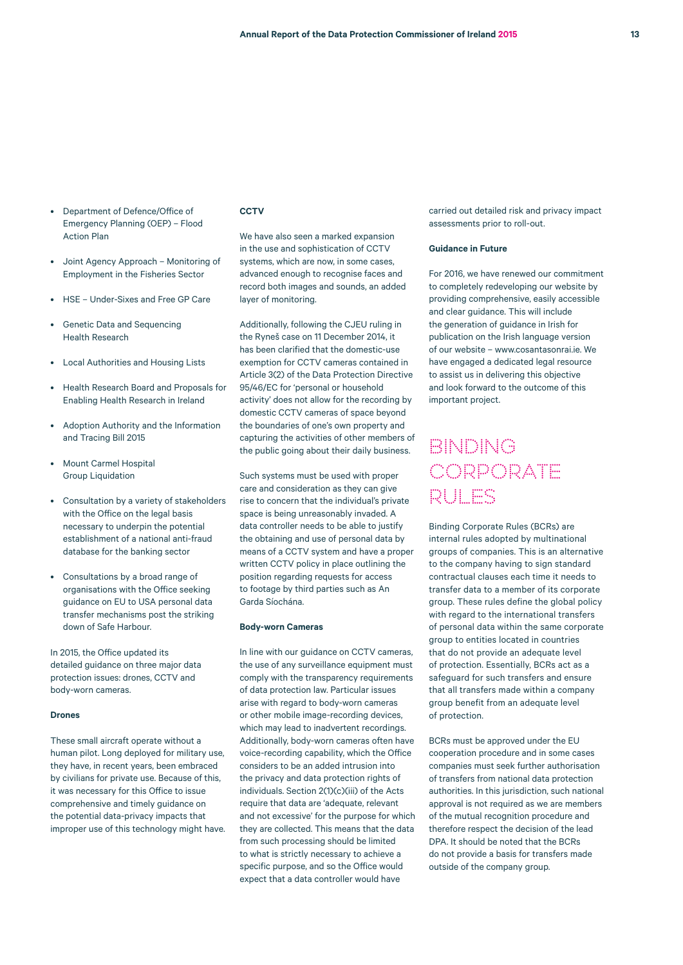- Department of Defence/Office of Emergency Planning (OEP) – Flood Action Plan
- Joint Agency Approach Monitoring of Employment in the Fisheries Sector
- HSE Under-Sixes and Free GP Care
- Genetic Data and Sequencing Health Research
- Local Authorities and Housing Lists
- Health Research Board and Proposals for Enabling Health Research in Ireland
- Adoption Authority and the Information and Tracing Bill 2015
- Mount Carmel Hospital Group Liquidation
- Consultation by a variety of stakeholders with the Office on the legal basis necessary to underpin the potential establishment of a national anti-fraud database for the banking sector
- Consultations by a broad range of organisations with the Office seeking guidance on EU to USA personal data transfer mechanisms post the striking down of Safe Harbour.

In 2015, the Office updated its detailed guidance on three major data protection issues: drones, CCTV and body-worn cameras.

### **Drones**

These small aircraft operate without a human pilot. Long deployed for military use, they have, in recent years, been embraced by civilians for private use. Because of this, it was necessary for this Office to issue comprehensive and timely guidance on the potential data-privacy impacts that improper use of this technology might have.

# **CCTV**

We have also seen a marked expansion in the use and sophistication of CCTV systems, which are now, in some cases, advanced enough to recognise faces and record both images and sounds, an added layer of monitoring.

Additionally, following the CJEU ruling in the Ryneš case on 11 December 2014, it has been clarified that the domestic-use exemption for CCTV cameras contained in Article 3(2) of the Data Protection Directive 95/46/EC for 'personal or household activity' does not allow for the recording by domestic CCTV cameras of space beyond the boundaries of one's own property and capturing the activities of other members of the public going about their daily business.

Such systems must be used with proper care and consideration as they can give rise to concern that the individual's private space is being unreasonably invaded. A data controller needs to be able to justify the obtaining and use of personal data by means of a CCTV system and have a proper written CCTV policy in place outlining the position regarding requests for access to footage by third parties such as An Garda Síochána.

#### **Body-worn Cameras**

In line with our guidance on CCTV cameras, the use of any surveillance equipment must comply with the transparency requirements of data protection law. Particular issues arise with regard to body-worn cameras or other mobile image-recording devices, which may lead to inadvertent recordings. Additionally, body-worn cameras often have voice-recording capability, which the Office considers to be an added intrusion into the privacy and data protection rights of individuals. Section 2(1)(c)(iii) of the Acts require that data are 'adequate, relevant and not excessive' for the purpose for which they are collected. This means that the data from such processing should be limited to what is strictly necessary to achieve a specific purpose, and so the Office would expect that a data controller would have

carried out detailed risk and privacy impact assessments prior to roll-out.

### **Guidance in Future**

For 2016, we have renewed our commitment to completely redeveloping our website by providing comprehensive, easily accessible and clear guidance. This will include the generation of guidance in Irish for publication on the Irish language version of our website – www.cosantasonrai.ie. We have engaged a dedicated legal resource to assist us in delivering this objective and look forward to the outcome of this important project.

# Binding Corporate Rules

Binding Corporate Rules (BCRs) are internal rules adopted by multinational groups of companies. This is an alternative to the company having to sign standard contractual clauses each time it needs to transfer data to a member of its corporate group. These rules define the global policy with regard to the international transfers of personal data within the same corporate group to entities located in countries that do not provide an adequate level of protection. Essentially, BCRs act as a safeguard for such transfers and ensure that all transfers made within a company group benefit from an adequate level of protection.

BCRs must be approved under the EU cooperation procedure and in some cases companies must seek further authorisation of transfers from national data protection authorities. In this jurisdiction, such national approval is not required as we are members of the mutual recognition procedure and therefore respect the decision of the lead DPA. It should be noted that the BCRs do not provide a basis for transfers made outside of the company group.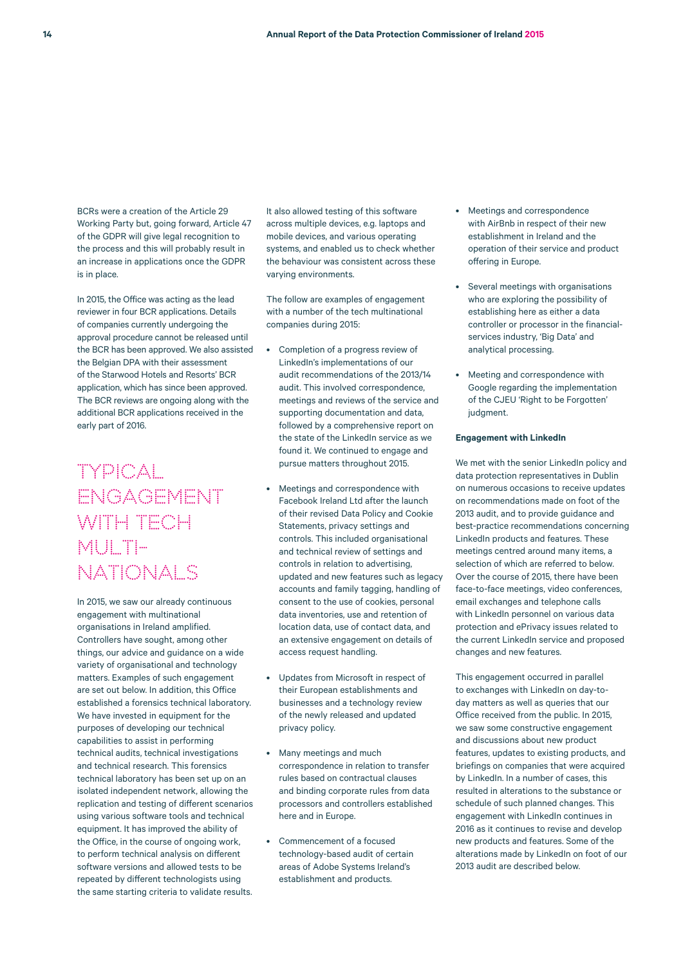BCRs were a creation of the Article 29 Working Party but, going forward, Article 47 of the GDPR will give legal recognition to the process and this will probably result in an increase in applications once the GDPR is in place.

In 2015, the Office was acting as the lead reviewer in four BCR applications. Details of companies currently undergoing the approval procedure cannot be released until the BCR has been approved. We also assisted the Belgian DPA with their assessment of the Starwood Hotels and Resorts' BCR application, which has since been approved. The BCR reviews are ongoing along with the additional BCR applications received in the early part of 2016.

# TYPICAL ENGAGEMENT WITH TECH MULTI-NATIONALS

In 2015, we saw our already continuous engagement with multinational organisations in Ireland amplified. Controllers have sought, among other things, our advice and guidance on a wide variety of organisational and technology matters. Examples of such engagement are set out below. In addition, this Office established a forensics technical laboratory. We have invested in equipment for the purposes of developing our technical capabilities to assist in performing technical audits, technical investigations and technical research. This forensics technical laboratory has been set up on an isolated independent network, allowing the replication and testing of different scenarios using various software tools and technical equipment. It has improved the ability of the Office, in the course of ongoing work, to perform technical analysis on different software versions and allowed tests to be repeated by different technologists using the same starting criteria to validate results.

It also allowed testing of this software across multiple devices, e.g. laptops and mobile devices, and various operating systems, and enabled us to check whether the behaviour was consistent across these varying environments.

The follow are examples of engagement with a number of the tech multinational companies during 2015:

- Completion of a progress review of LinkedIn's implementations of our audit recommendations of the 2013/14 audit. This involved correspondence, meetings and reviews of the service and supporting documentation and data, followed by a comprehensive report on the state of the LinkedIn service as we found it. We continued to engage and pursue matters throughout 2015.
- Meetings and correspondence with Facebook Ireland Ltd after the launch of their revised Data Policy and Cookie Statements, privacy settings and controls. This included organisational and technical review of settings and controls in relation to advertising, updated and new features such as legacy accounts and family tagging, handling of consent to the use of cookies, personal data inventories, use and retention of location data, use of contact data, and an extensive engagement on details of access request handling.
- Updates from Microsoft in respect of their European establishments and businesses and a technology review of the newly released and updated privacy policy.
- Many meetings and much correspondence in relation to transfer rules based on contractual clauses and binding corporate rules from data processors and controllers established here and in Europe.
- Commencement of a focused technology-based audit of certain areas of Adobe Systems Ireland's establishment and products.
- Meetings and correspondence with AirBnb in respect of their new establishment in Ireland and the operation of their service and product offering in Europe.
- Several meetings with organisations who are exploring the possibility of establishing here as either a data controller or processor in the financialservices industry, 'Big Data' and analytical processing.
- Meeting and correspondence with Google regarding the implementation of the CJEU 'Right to be Forgotten' judgment.

### **Engagement with LinkedIn**

We met with the senior LinkedIn policy and data protection representatives in Dublin on numerous occasions to receive updates on recommendations made on foot of the 2013 audit, and to provide guidance and best-practice recommendations concerning LinkedIn products and features. These meetings centred around many items, a selection of which are referred to below. Over the course of 2015, there have been face-to-face meetings, video conferences, email exchanges and telephone calls with LinkedIn personnel on various data protection and ePrivacy issues related to the current LinkedIn service and proposed changes and new features.

This engagement occurred in parallel to exchanges with LinkedIn on day-today matters as well as queries that our Office received from the public. In 2015, we saw some constructive engagement and discussions about new product features, updates to existing products, and briefings on companies that were acquired by LinkedIn. In a number of cases, this resulted in alterations to the substance or schedule of such planned changes. This engagement with LinkedIn continues in 2016 as it continues to revise and develop new products and features. Some of the alterations made by LinkedIn on foot of our 2013 audit are described below.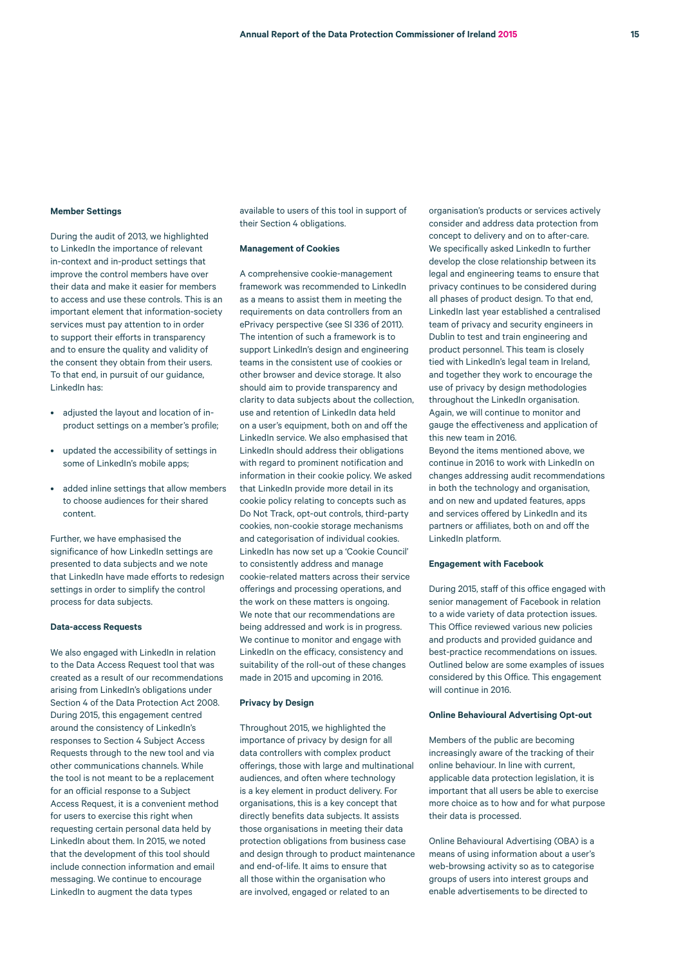#### **Member Settings**

During the audit of 2013, we highlighted to LinkedIn the importance of relevant in-context and in-product settings that improve the control members have over their data and make it easier for members to access and use these controls. This is an important element that information-society services must pay attention to in order to support their efforts in transparency and to ensure the quality and validity of the consent they obtain from their users. To that end, in pursuit of our guidance, LinkedIn has:

- adjusted the layout and location of inproduct settings on a member's profile;
- updated the accessibility of settings in some of LinkedIn's mobile apps;
- added inline settings that allow members to choose audiences for their shared content.

Further, we have emphasised the significance of how LinkedIn settings are presented to data subjects and we note that LinkedIn have made efforts to redesign settings in order to simplify the control process for data subjects.

#### **Data-access Requests**

We also engaged with LinkedIn in relation to the Data Access Request tool that was created as a result of our recommendations arising from LinkedIn's obligations under Section 4 of the Data Protection Act 2008. During 2015, this engagement centred around the consistency of LinkedIn's responses to Section 4 Subject Access Requests through to the new tool and via other communications channels. While the tool is not meant to be a replacement for an official response to a Subject Access Request, it is a convenient method for users to exercise this right when requesting certain personal data held by LinkedIn about them. In 2015, we noted that the development of this tool should include connection information and email messaging. We continue to encourage LinkedIn to augment the data types

available to users of this tool in support of their Section 4 obligations.

#### **Management of Cookies**

A comprehensive cookie-management framework was recommended to LinkedIn as a means to assist them in meeting the requirements on data controllers from an ePrivacy perspective (see SI 336 of 2011). The intention of such a framework is to support LinkedIn's design and engineering teams in the consistent use of cookies or other browser and device storage. It also should aim to provide transparency and clarity to data subjects about the collection, use and retention of LinkedIn data held on a user's equipment, both on and off the LinkedIn service. We also emphasised that LinkedIn should address their obligations with regard to prominent notification and information in their cookie policy. We asked that LinkedIn provide more detail in its cookie policy relating to concepts such as Do Not Track, opt-out controls, third-party cookies, non-cookie storage mechanisms and categorisation of individual cookies. LinkedIn has now set up a 'Cookie Council' to consistently address and manage cookie-related matters across their service offerings and processing operations, and the work on these matters is ongoing. We note that our recommendations are being addressed and work is in progress. We continue to monitor and engage with LinkedIn on the efficacy, consistency and suitability of the roll-out of these changes made in 2015 and upcoming in 2016.

#### **Privacy by Design**

Throughout 2015, we highlighted the importance of privacy by design for all data controllers with complex product offerings, those with large and multinational audiences, and often where technology is a key element in product delivery. For organisations, this is a key concept that directly benefits data subjects. It assists those organisations in meeting their data protection obligations from business case and design through to product maintenance and end-of-life. It aims to ensure that all those within the organisation who are involved, engaged or related to an

organisation's products or services actively consider and address data protection from concept to delivery and on to after-care. We specifically asked LinkedIn to further develop the close relationship between its legal and engineering teams to ensure that privacy continues to be considered during all phases of product design. To that end, LinkedIn last year established a centralised team of privacy and security engineers in Dublin to test and train engineering and product personnel. This team is closely tied with LinkedIn's legal team in Ireland, and together they work to encourage the use of privacy by design methodologies throughout the LinkedIn organisation. Again, we will continue to monitor and gauge the effectiveness and application of this new team in 2016.

Beyond the items mentioned above, we continue in 2016 to work with LinkedIn on changes addressing audit recommendations in both the technology and organisation, and on new and updated features, apps and services offered by LinkedIn and its partners or affiliates, both on and off the LinkedIn platform.

#### **Engagement with Facebook**

During 2015, staff of this office engaged with senior management of Facebook in relation to a wide variety of data protection issues. This Office reviewed various new policies and products and provided guidance and best-practice recommendations on issues. Outlined below are some examples of issues considered by this Office. This engagement will continue in 2016.

#### **Online Behavioural Advertising Opt-out**

Members of the public are becoming increasingly aware of the tracking of their online behaviour. In line with current, applicable data protection legislation, it is important that all users be able to exercise more choice as to how and for what purpose their data is processed.

Online Behavioural Advertising (OBA) is a means of using information about a user's web-browsing activity so as to categorise groups of users into interest groups and enable advertisements to be directed to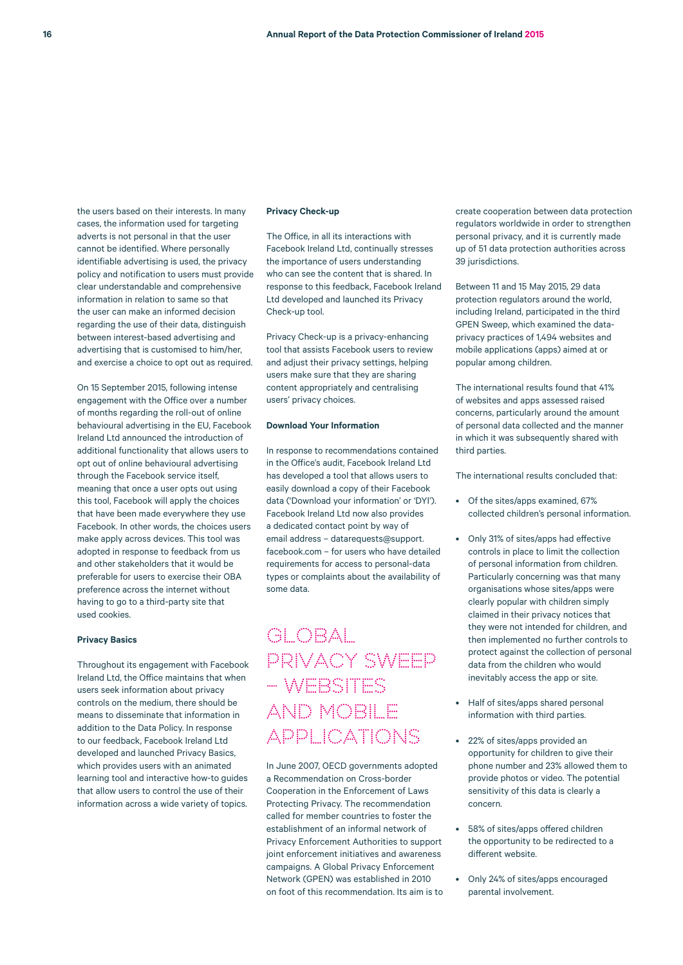the users based on their interests. In many cases, the information used for targeting adverts is not personal in that the user cannot be identified. Where personally identifiable advertising is used, the privacy policy and notification to users must provide clear understandable and comprehensive information in relation to same so that the user can make an informed decision regarding the use of their data, distinguish between interest-based advertising and advertising that is customised to him/her, and exercise a choice to opt out as required.

On 15 September 2015, following intense engagement with the Office over a number of months regarding the roll-out of online behavioural advertising in the EU, Facebook Ireland Ltd announced the introduction of additional functionality that allows users to opt out of online behavioural advertising through the Facebook service itself, meaning that once a user opts out using this tool, Facebook will apply the choices that have been made everywhere they use Facebook. In other words, the choices users make apply across devices. This tool was adopted in response to feedback from us and other stakeholders that it would be preferable for users to exercise their OBA preference across the internet without having to go to a third-party site that used cookies.

### **Privacy Basics**

Throughout its engagement with Facebook Ireland Ltd, the Office maintains that when users seek information about privacy controls on the medium, there should be means to disseminate that information in addition to the Data Policy. In response to our feedback, Facebook Ireland Ltd developed and launched Privacy Basics, which provides users with an animated learning tool and interactive how-to guides that allow users to control the use of their information across a wide variety of topics.

#### **Privacy Check-up**

The Office, in all its interactions with Facebook Ireland Ltd, continually stresses the importance of users understanding who can see the content that is shared. In response to this feedback, Facebook Ireland Ltd developed and launched its Privacy Check-up tool.

Privacy Check-up is a privacy-enhancing tool that assists Facebook users to review and adjust their privacy settings, helping users make sure that they are sharing content appropriately and centralising users' privacy choices.

### **Download Your Information**

In response to recommendations contained in the Office's audit, Facebook Ireland Ltd has developed a tool that allows users to easily download a copy of their Facebook data ('Download your information' or 'DYI'). Facebook Ireland Ltd now also provides a dedicated contact point by way of email address – datarequests@support. facebook.com – for users who have detailed requirements for access to personal-data types or complaints about the availability of some data.

# GLOBAL PRIVACY SWEEP – WEBSITES AND MOBILE APPLICATIONS

In June 2007, OECD governments adopted a Recommendation on Cross-border Cooperation in the Enforcement of Laws Protecting Privacy. The recommendation called for member countries to foster the establishment of an informal network of Privacy Enforcement Authorities to support joint enforcement initiatives and awareness campaigns. A Global Privacy Enforcement Network (GPEN) was established in 2010 on foot of this recommendation. Its aim is to create cooperation between data protection regulators worldwide in order to strengthen personal privacy, and it is currently made up of 51 data protection authorities across 39 jurisdictions.

Between 11 and 15 May 2015, 29 data protection regulators around the world, including Ireland, participated in the third GPEN Sweep, which examined the dataprivacy practices of 1,494 websites and mobile applications (apps) aimed at or popular among children.

The international results found that 41% of websites and apps assessed raised concerns, particularly around the amount of personal data collected and the manner in which it was subsequently shared with third parties.

The international results concluded that:

- Of the sites/apps examined, 67% collected children's personal information.
- Only 31% of sites/apps had effective controls in place to limit the collection of personal information from children. Particularly concerning was that many organisations whose sites/apps were clearly popular with children simply claimed in their privacy notices that they were not intended for children, and then implemented no further controls to protect against the collection of personal data from the children who would inevitably access the app or site.
- Half of sites/apps shared personal information with third parties.
- 22% of sites/apps provided an opportunity for children to give their phone number and 23% allowed them to provide photos or video. The potential sensitivity of this data is clearly a concern.
- 58% of sites/apps offered children the opportunity to be redirected to a different website.
- Only 24% of sites/apps encouraged parental involvement.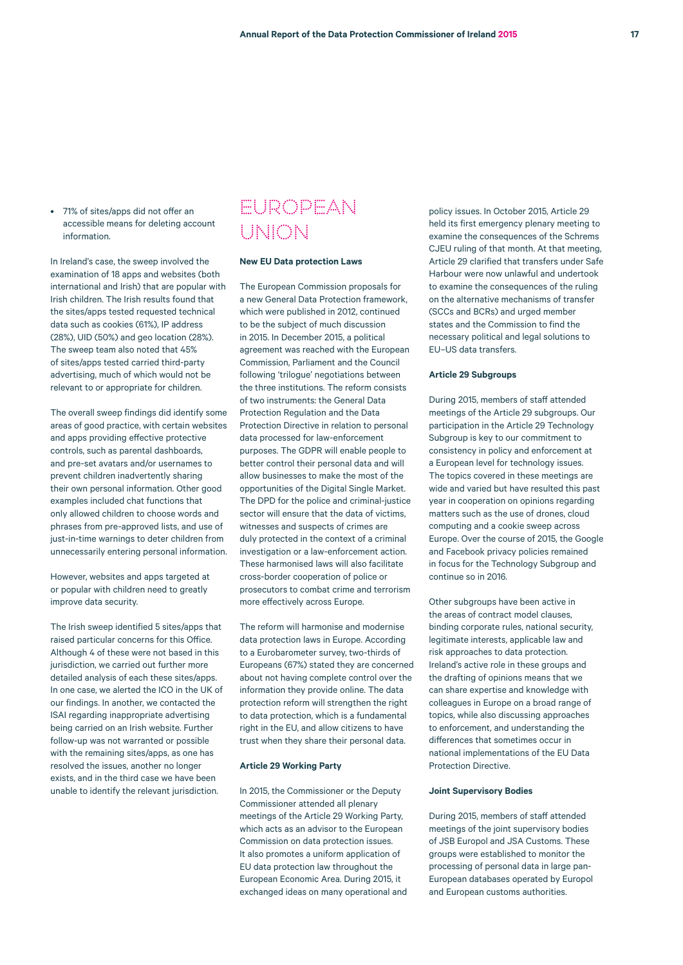• 71% of sites/apps did not offer an accessible means for deleting account information.

In Ireland's case, the sweep involved the examination of 18 apps and websites (both international and Irish) that are popular with Irish children. The Irish results found that the sites/apps tested requested technical data such as cookies (61%), IP address (28%), UID (50%) and geo location (28%). The sweep team also noted that 45% of sites/apps tested carried third-party advertising, much of which would not be relevant to or appropriate for children.

The overall sweep findings did identify some areas of good practice, with certain websites and apps providing effective protective controls, such as parental dashboards, and pre-set avatars and/or usernames to prevent children inadvertently sharing their own personal information. Other good examples included chat functions that only allowed children to choose words and phrases from pre-approved lists, and use of just-in-time warnings to deter children from unnecessarily entering personal information.

However, websites and apps targeted at or popular with children need to greatly improve data security.

The Irish sweep identified 5 sites/apps that raised particular concerns for this Office. Although 4 of these were not based in this jurisdiction, we carried out further more detailed analysis of each these sites/apps. In one case, we alerted the ICO in the UK of our findings. In another, we contacted the ISAI regarding inappropriate advertising being carried on an Irish website. Further follow-up was not warranted or possible with the remaining sites/apps, as one has resolved the issues, another no longer exists, and in the third case we have been unable to identify the relevant jurisdiction.

# EUROPEAN UNION

### **New EU Data protection Laws**

The European Commission proposals for a new General Data Protection framework, which were published in 2012, continued to be the subject of much discussion in 2015. In December 2015, a political agreement was reached with the European Commission, Parliament and the Council following 'trilogue' negotiations between the three institutions. The reform consists of two instruments: the General Data Protection Regulation and the Data Protection Directive in relation to personal data processed for law-enforcement purposes. The GDPR will enable people to better control their personal data and will allow businesses to make the most of the opportunities of the Digital Single Market. The DPD for the police and criminal-justice sector will ensure that the data of victims, witnesses and suspects of crimes are duly protected in the context of a criminal investigation or a law-enforcement action. These harmonised laws will also facilitate cross-border cooperation of police or prosecutors to combat crime and terrorism more effectively across Europe.

The reform will harmonise and modernise data protection laws in Europe. According to a Eurobarometer survey, two-thirds of Europeans (67%) stated they are concerned about not having complete control over the information they provide online. The data protection reform will strengthen the right to data protection, which is a fundamental right in the EU, and allow citizens to have trust when they share their personal data.

#### **Article 29 Working Party**

In 2015, the Commissioner or the Deputy Commissioner attended all plenary meetings of the Article 29 Working Party, which acts as an advisor to the European Commission on data protection issues. It also promotes a uniform application of EU data protection law throughout the European Economic Area. During 2015, it exchanged ideas on many operational and

policy issues. In October 2015, Article 29 held its first emergency plenary meeting to examine the consequences of the Schrems CJEU ruling of that month. At that meeting, Article 29 clarified that transfers under Safe Harbour were now unlawful and undertook to examine the consequences of the ruling on the alternative mechanisms of transfer (SCCs and BCRs) and urged member states and the Commission to find the necessary political and legal solutions to EU–US data transfers.

# **Article 29 Subgroups**

During 2015, members of staff attended meetings of the Article 29 subgroups. Our participation in the Article 29 Technology Subgroup is key to our commitment to consistency in policy and enforcement at a European level for technology issues. The topics covered in these meetings are wide and varied but have resulted this past year in cooperation on opinions regarding matters such as the use of drones, cloud computing and a cookie sweep across Europe. Over the course of 2015, the Google and Facebook privacy policies remained in focus for the Technology Subgroup and continue so in 2016.

Other subgroups have been active in the areas of contract model clauses, binding corporate rules, national security, legitimate interests, applicable law and risk approaches to data protection. Ireland's active role in these groups and the drafting of opinions means that we can share expertise and knowledge with colleagues in Europe on a broad range of topics, while also discussing approaches to enforcement, and understanding the differences that sometimes occur in national implementations of the EU Data Protection Directive.

#### **Joint Supervisory Bodies**

During 2015, members of staff attended meetings of the joint supervisory bodies of JSB Europol and JSA Customs. These groups were established to monitor the processing of personal data in large pan-European databases operated by Europol and European customs authorities.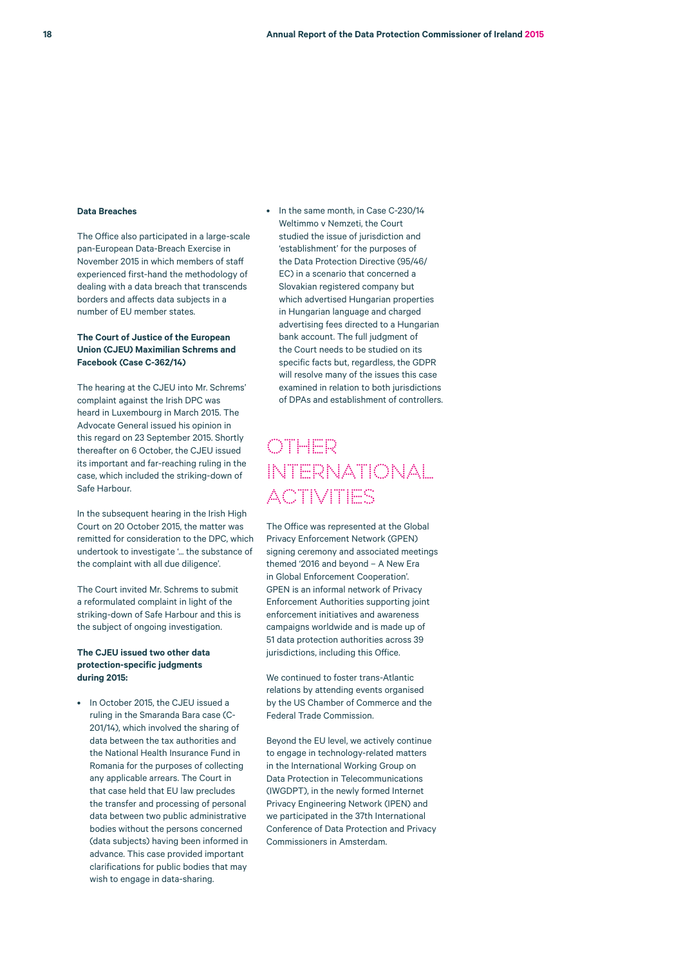#### **Data Breaches**

The Office also participated in a large-scale pan-European Data-Breach Exercise in November 2015 in which members of staff experienced first-hand the methodology of dealing with a data breach that transcends borders and affects data subjects in a number of EU member states.

### **The Court of Justice of the European Union (CJEU) Maximilian Schrems and Facebook (Case C-362/14)**

The hearing at the CJEU into Mr. Schrems' complaint against the Irish DPC was heard in Luxembourg in March 2015. The Advocate General issued his opinion in this regard on 23 September 2015. Shortly thereafter on 6 October, the CJEU issued its important and far-reaching ruling in the case, which included the striking-down of Safe Harbour.

In the subsequent hearing in the Irish High Court on 20 October 2015, the matter was remitted for consideration to the DPC, which undertook to investigate '... the substance of the complaint with all due diligence'.

The Court invited Mr. Schrems to submit a reformulated complaint in light of the striking-down of Safe Harbour and this is the subject of ongoing investigation.

### **The CJEU issued two other data protection-specific judgments during 2015:**

• In October 2015, the CJEU issued a ruling in the Smaranda Bara case (C-201/14), which involved the sharing of data between the tax authorities and the National Health Insurance Fund in Romania for the purposes of collecting any applicable arrears. The Court in that case held that EU law precludes the transfer and processing of personal data between two public administrative bodies without the persons concerned (data subjects) having been informed in advance. This case provided important clarifications for public bodies that may wish to engage in data-sharing.

• In the same month, in Case C-230/14 Weltimmo v Nemzeti, the Court studied the issue of jurisdiction and 'establishment' for the purposes of the Data Protection Directive (95/46/ EC) in a scenario that concerned a Slovakian registered company but which advertised Hungarian properties in Hungarian language and charged advertising fees directed to a Hungarian bank account. The full judgment of the Court needs to be studied on its specific facts but, regardless, the GDPR will resolve many of the issues this case examined in relation to both jurisdictions of DPAs and establishment of controllers.

# Other International **ACTIVITIES**

The Office was represented at the Global Privacy Enforcement Network (GPEN) signing ceremony and associated meetings themed '2016 and beyond – A New Era in Global Enforcement Cooperation'. GPEN is an informal network of Privacy Enforcement Authorities supporting joint enforcement initiatives and awareness campaigns worldwide and is made up of 51 data protection authorities across 39 jurisdictions, including this Office.

We continued to foster trans-Atlantic relations by attending events organised by the US Chamber of Commerce and the Federal Trade Commission.

Beyond the EU level, we actively continue to engage in technology-related matters in the International Working Group on Data Protection in Telecommunications (IWGDPT), in the newly formed Internet Privacy Engineering Network (IPEN) and we participated in the 37th International Conference of Data Protection and Privacy Commissioners in Amsterdam.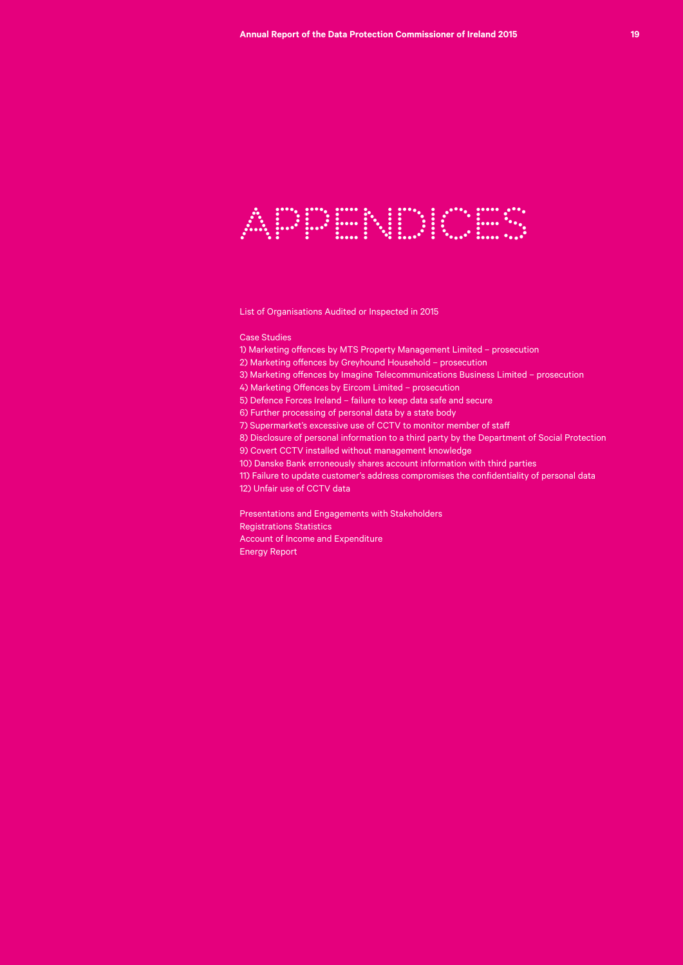

List of Organisations Audited or Inspected in 2015

Case Studies

1) Marketing offences by MTS Property Management Limited – prosecution

2) Marketing offences by Greyhound Household – prosecution

3) Marketing offences by Imagine Telecommunications Business Limited – prosecution

4) Marketing Offences by Eircom Limited – prosecution

5) Defence Forces Ireland – failure to keep data safe and secure

6) Further processing of personal data by a state body

7) Supermarket's excessive use of CCTV to monitor member of staff

8) Disclosure of personal information to a third party by the Department of Social Protection 9) Covert CCTV installed without management knowledge

10) Danske Bank erroneously shares account information with third parties

11) Failure to update customer's address compromises the confidentiality of personal data 12) Unfair use of CCTV data

Presentations and Engagements with Stakeholders Registrations Statistics Account of Income and Expenditure Energy Report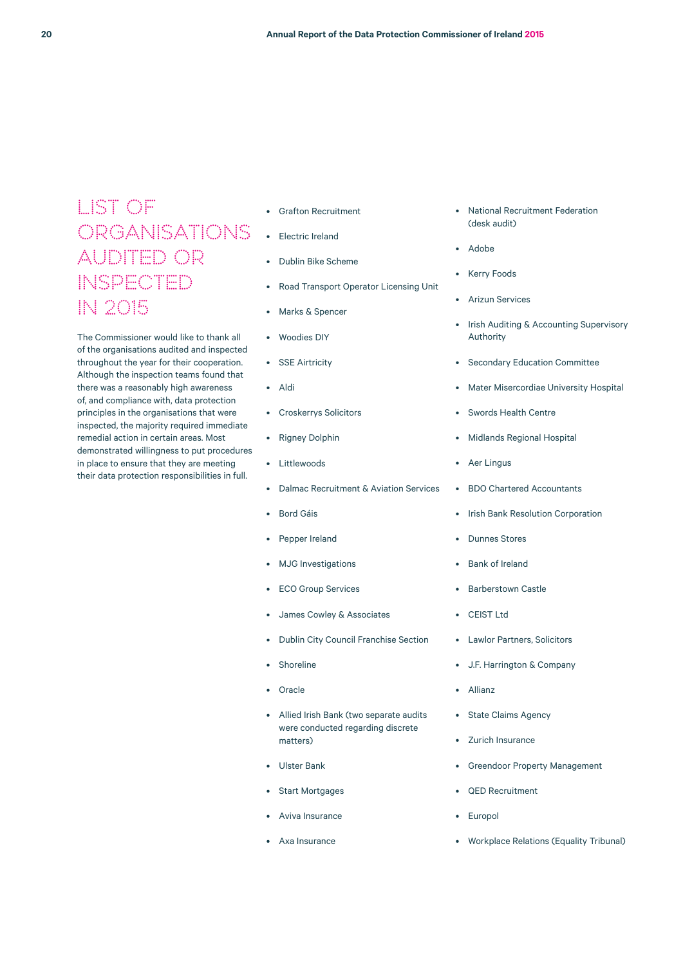# LIST OF ORGANISATIONS AUDITED OR INSPECTED IN 2015

The Commissioner would like to thank all of the organisations audited and inspected throughout the year for their cooperation. Although the inspection teams found that there was a reasonably high awareness of, and compliance with, data protection principles in the organisations that were inspected, the majority required immediate remedial action in certain areas. Most demonstrated willingness to put procedures in place to ensure that they are meeting their data protection responsibilities in full.

- Grafton Recruitment
- Electric Ireland
- Dublin Bike Scheme
- Road Transport Operator Licensing Unit
- Marks & Spencer
- Woodies DIY
- SSE Airtricity
- Aldi
- Croskerrys Solicitors
- Rigney Dolphin
- Littlewoods
- Dalmac Recruitment & Aviation Services
- Bord Gáis
- Pepper Ireland
- MJG Investigations
- ECO Group Services
- James Cowley & Associates
- Dublin City Council Franchise Section
- **Shoreline**
- Oracle
- Allied Irish Bank (two separate audits were conducted regarding discrete matters)
- Ulster Bank
- Start Mortgages
- Aviva Insurance
- Axa Insurance
- National Recruitment Federation (desk audit)
- Adobe
- **Kerry Foods**
- Arizun Services
- Irish Auditing & Accounting Supervisory Authority
- Secondary Education Committee
- Mater Misercordiae University Hospital
- Swords Health Centre
- Midlands Regional Hospital
- Aer Lingus
- BDO Chartered Accountants
- Irish Bank Resolution Corporation
- Dunnes Stores
- Bank of Ireland
- Barberstown Castle
- CEIST Ltd
- Lawlor Partners, Solicitors
- J.F. Harrington & Company
- Allianz
- State Claims Agency
- Zurich Insurance
- Greendoor Property Management
- QED Recruitment
- **Europol**
- Workplace Relations (Equality Tribunal)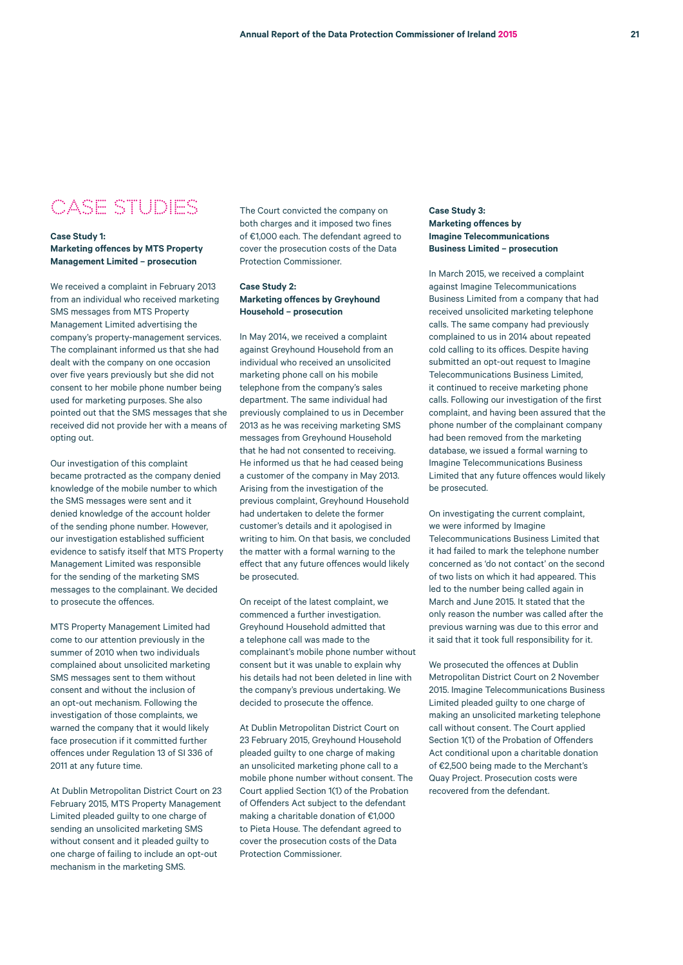# CASE STUDIES

### **Case Study 1: Marketing offences by MTS Property Management Limited – prosecution**

We received a complaint in February 2013 from an individual who received marketing SMS messages from MTS Property Management Limited advertising the company's property-management services. The complainant informed us that she had dealt with the company on one occasion over five years previously but she did not consent to her mobile phone number being used for marketing purposes. She also pointed out that the SMS messages that she received did not provide her with a means of opting out.

Our investigation of this complaint became protracted as the company denied knowledge of the mobile number to which the SMS messages were sent and it denied knowledge of the account holder of the sending phone number. However, our investigation established sufficient evidence to satisfy itself that MTS Property Management Limited was responsible for the sending of the marketing SMS messages to the complainant. We decided to prosecute the offences.

MTS Property Management Limited had come to our attention previously in the summer of 2010 when two individuals complained about unsolicited marketing SMS messages sent to them without consent and without the inclusion of an opt-out mechanism. Following the investigation of those complaints, we warned the company that it would likely face prosecution if it committed further offences under Regulation 13 of SI 336 of 2011 at any future time.

At Dublin Metropolitan District Court on 23 February 2015, MTS Property Management Limited pleaded guilty to one charge of sending an unsolicited marketing SMS without consent and it pleaded guilty to one charge of failing to include an opt-out mechanism in the marketing SMS.

The Court convicted the company on both charges and it imposed two fines of €1,000 each. The defendant agreed to cover the prosecution costs of the Data Protection Commissioner.

# **Case Study 2: Marketing offences by Greyhound Household – prosecution**

In May 2014, we received a complaint against Greyhound Household from an individual who received an unsolicited marketing phone call on his mobile telephone from the company's sales department. The same individual had previously complained to us in December 2013 as he was receiving marketing SMS messages from Greyhound Household that he had not consented to receiving. He informed us that he had ceased being a customer of the company in May 2013. Arising from the investigation of the previous complaint, Greyhound Household had undertaken to delete the former customer's details and it apologised in writing to him. On that basis, we concluded the matter with a formal warning to the effect that any future offences would likely be prosecuted.

On receipt of the latest complaint, we commenced a further investigation. Greyhound Household admitted that a telephone call was made to the complainant's mobile phone number without consent but it was unable to explain why his details had not been deleted in line with the company's previous undertaking. We decided to prosecute the offence.

At Dublin Metropolitan District Court on 23 February 2015, Greyhound Household pleaded guilty to one charge of making an unsolicited marketing phone call to a mobile phone number without consent. The Court applied Section 1(1) of the Probation of Offenders Act subject to the defendant making a charitable donation of €1,000 to Pieta House. The defendant agreed to cover the prosecution costs of the Data Protection Commissioner.

# **Case Study 3: Marketing offences by Imagine Telecommunications Business Limited – prosecution**

In March 2015, we received a complaint against Imagine Telecommunications Business Limited from a company that had received unsolicited marketing telephone calls. The same company had previously complained to us in 2014 about repeated cold calling to its offices. Despite having submitted an opt-out request to Imagine Telecommunications Business Limited, it continued to receive marketing phone calls. Following our investigation of the first complaint, and having been assured that the phone number of the complainant company had been removed from the marketing database, we issued a formal warning to Imagine Telecommunications Business Limited that any future offences would likely be prosecuted.

On investigating the current complaint, we were informed by Imagine Telecommunications Business Limited that it had failed to mark the telephone number concerned as 'do not contact' on the second of two lists on which it had appeared. This led to the number being called again in March and June 2015. It stated that the only reason the number was called after the previous warning was due to this error and it said that it took full responsibility for it.

We prosecuted the offences at Dublin Metropolitan District Court on 2 November 2015. Imagine Telecommunications Business Limited pleaded guilty to one charge of making an unsolicited marketing telephone call without consent. The Court applied Section 1(1) of the Probation of Offenders Act conditional upon a charitable donation of €2,500 being made to the Merchant's Quay Project. Prosecution costs were recovered from the defendant.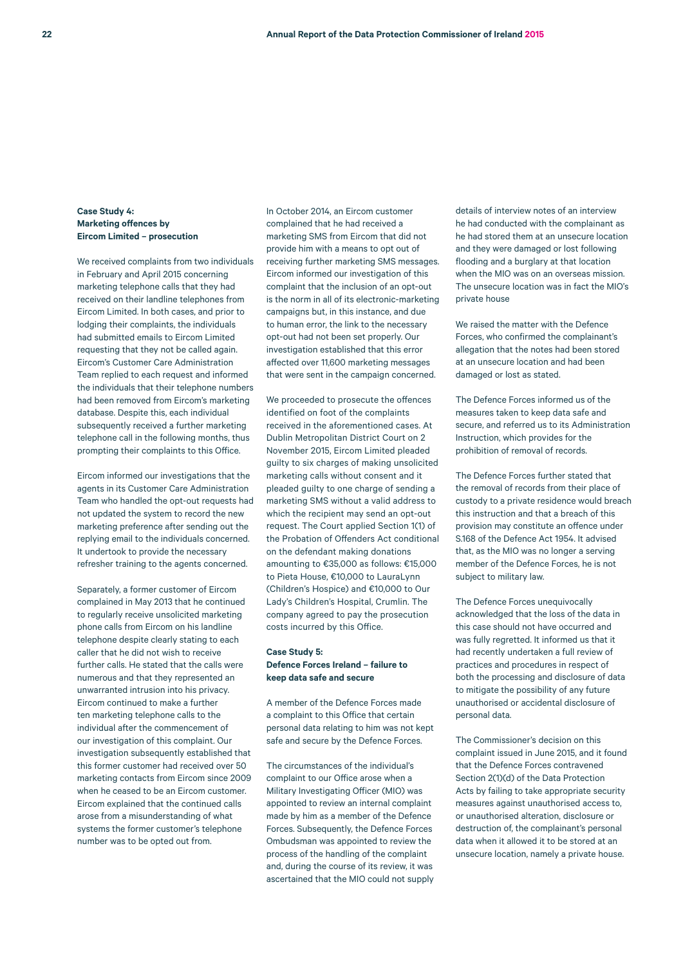# **Case Study 4: Marketing offences by Eircom Limited – prosecution**

We received complaints from two individuals in February and April 2015 concerning marketing telephone calls that they had received on their landline telephones from Eircom Limited. In both cases, and prior to lodging their complaints, the individuals had submitted emails to Eircom Limited requesting that they not be called again. Eircom's Customer Care Administration Team replied to each request and informed the individuals that their telephone numbers had been removed from Eircom's marketing database. Despite this, each individual subsequently received a further marketing telephone call in the following months, thus prompting their complaints to this Office.

Eircom informed our investigations that the agents in its Customer Care Administration Team who handled the opt-out requests had not updated the system to record the new marketing preference after sending out the replying email to the individuals concerned. It undertook to provide the necessary refresher training to the agents concerned.

Separately, a former customer of Eircom complained in May 2013 that he continued to regularly receive unsolicited marketing phone calls from Eircom on his landline telephone despite clearly stating to each caller that he did not wish to receive further calls. He stated that the calls were numerous and that they represented an unwarranted intrusion into his privacy. Eircom continued to make a further ten marketing telephone calls to the individual after the commencement of our investigation of this complaint. Our investigation subsequently established that this former customer had received over 50 marketing contacts from Eircom since 2009 when he ceased to be an Eircom customer. Eircom explained that the continued calls arose from a misunderstanding of what systems the former customer's telephone number was to be opted out from.

In October 2014, an Eircom customer complained that he had received a marketing SMS from Eircom that did not provide him with a means to opt out of receiving further marketing SMS messages. Eircom informed our investigation of this complaint that the inclusion of an opt-out is the norm in all of its electronic-marketing campaigns but, in this instance, and due to human error, the link to the necessary opt-out had not been set properly. Our investigation established that this error affected over 11,600 marketing messages that were sent in the campaign concerned.

We proceeded to prosecute the offences identified on foot of the complaints received in the aforementioned cases. At Dublin Metropolitan District Court on 2 November 2015, Eircom Limited pleaded guilty to six charges of making unsolicited marketing calls without consent and it pleaded guilty to one charge of sending a marketing SMS without a valid address to which the recipient may send an opt-out request. The Court applied Section 1(1) of the Probation of Offenders Act conditional on the defendant making donations amounting to €35,000 as follows: €15,000 to Pieta House, €10,000 to LauraLynn (Children's Hospice) and €10,000 to Our Lady's Children's Hospital, Crumlin. The company agreed to pay the prosecution costs incurred by this Office.

### **Case Study 5: Defence Forces Ireland – failure to keep data safe and secure**

A member of the Defence Forces made a complaint to this Office that certain personal data relating to him was not kept safe and secure by the Defence Forces.

The circumstances of the individual's complaint to our Office arose when a Military Investigating Officer (MIO) was appointed to review an internal complaint made by him as a member of the Defence Forces. Subsequently, the Defence Forces Ombudsman was appointed to review the process of the handling of the complaint and, during the course of its review, it was ascertained that the MIO could not supply details of interview notes of an interview he had conducted with the complainant as he had stored them at an unsecure location and they were damaged or lost following flooding and a burglary at that location when the MIO was on an overseas mission. The unsecure location was in fact the MIO's private house

We raised the matter with the Defence Forces, who confirmed the complainant's allegation that the notes had been stored at an unsecure location and had been damaged or lost as stated.

The Defence Forces informed us of the measures taken to keep data safe and secure, and referred us to its Administration Instruction, which provides for the prohibition of removal of records.

The Defence Forces further stated that the removal of records from their place of custody to a private residence would breach this instruction and that a breach of this provision may constitute an offence under S.168 of the Defence Act 1954. It advised that, as the MIO was no longer a serving member of the Defence Forces, he is not subject to military law.

The Defence Forces unequivocally acknowledged that the loss of the data in this case should not have occurred and was fully regretted. It informed us that it had recently undertaken a full review of practices and procedures in respect of both the processing and disclosure of data to mitigate the possibility of any future unauthorised or accidental disclosure of personal data.

The Commissioner's decision on this complaint issued in June 2015, and it found that the Defence Forces contravened Section 2(1)(d) of the Data Protection Acts by failing to take appropriate security measures against unauthorised access to, or unauthorised alteration, disclosure or destruction of, the complainant's personal data when it allowed it to be stored at an unsecure location, namely a private house.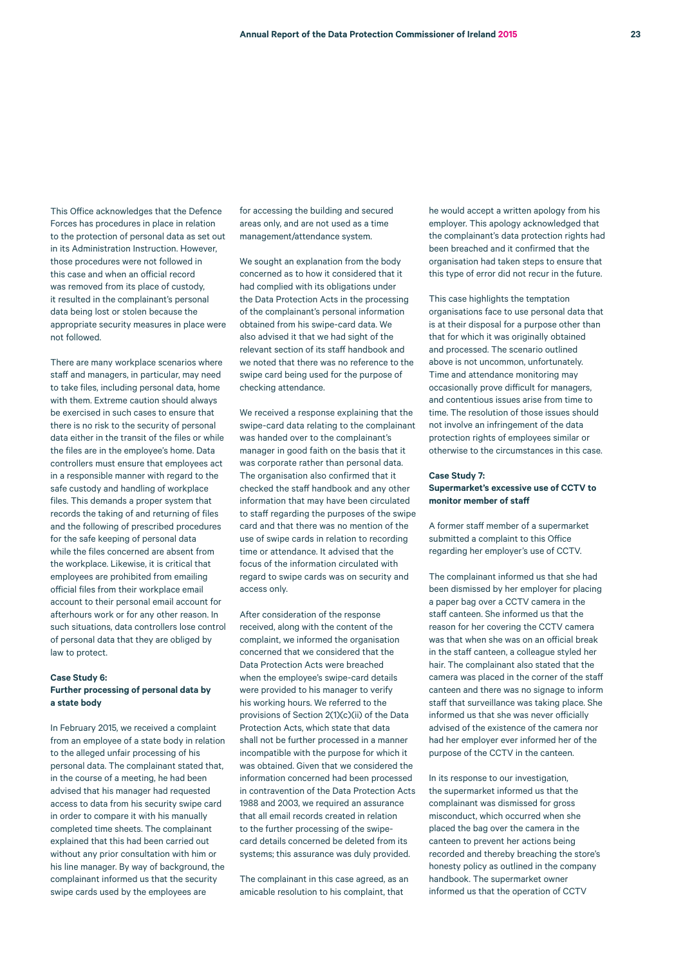This Office acknowledges that the Defence Forces has procedures in place in relation to the protection of personal data as set out in its Administration Instruction. However, those procedures were not followed in this case and when an official record was removed from its place of custody, it resulted in the complainant's personal data being lost or stolen because the appropriate security measures in place were not followed.

There are many workplace scenarios where staff and managers, in particular, may need to take files, including personal data, home with them. Extreme caution should always be exercised in such cases to ensure that there is no risk to the security of personal data either in the transit of the files or while the files are in the employee's home. Data controllers must ensure that employees act in a responsible manner with regard to the safe custody and handling of workplace files. This demands a proper system that records the taking of and returning of files and the following of prescribed procedures for the safe keeping of personal data while the files concerned are absent from the workplace. Likewise, it is critical that employees are prohibited from emailing official files from their workplace email account to their personal email account for afterhours work or for any other reason. In such situations, data controllers lose control of personal data that they are obliged by law to protect.

### **Case Study 6: Further processing of personal data by a state body**

In February 2015, we received a complaint from an employee of a state body in relation to the alleged unfair processing of his personal data. The complainant stated that, in the course of a meeting, he had been advised that his manager had requested access to data from his security swipe card in order to compare it with his manually completed time sheets. The complainant explained that this had been carried out without any prior consultation with him or his line manager. By way of background, the complainant informed us that the security swipe cards used by the employees are

for accessing the building and secured areas only, and are not used as a time management/attendance system.

We sought an explanation from the body concerned as to how it considered that it had complied with its obligations under the Data Protection Acts in the processing of the complainant's personal information obtained from his swipe-card data. We also advised it that we had sight of the relevant section of its staff handbook and we noted that there was no reference to the swipe card being used for the purpose of checking attendance.

We received a response explaining that the swipe-card data relating to the complainant was handed over to the complainant's manager in good faith on the basis that it was corporate rather than personal data. The organisation also confirmed that it checked the staff handbook and any other information that may have been circulated to staff regarding the purposes of the swipe card and that there was no mention of the use of swipe cards in relation to recording time or attendance. It advised that the focus of the information circulated with regard to swipe cards was on security and access only.

After consideration of the response received, along with the content of the complaint, we informed the organisation concerned that we considered that the Data Protection Acts were breached when the employee's swipe-card details were provided to his manager to verify his working hours. We referred to the provisions of Section 2(1)(c)(ii) of the Data Protection Acts, which state that data shall not be further processed in a manner incompatible with the purpose for which it was obtained. Given that we considered the information concerned had been processed in contravention of the Data Protection Acts 1988 and 2003, we required an assurance that all email records created in relation to the further processing of the swipecard details concerned be deleted from its systems; this assurance was duly provided.

The complainant in this case agreed, as an amicable resolution to his complaint, that

he would accept a written apology from his employer. This apology acknowledged that the complainant's data protection rights had been breached and it confirmed that the organisation had taken steps to ensure that this type of error did not recur in the future.

This case highlights the temptation organisations face to use personal data that is at their disposal for a purpose other than that for which it was originally obtained and processed. The scenario outlined above is not uncommon, unfortunately. Time and attendance monitoring may occasionally prove difficult for managers, and contentious issues arise from time to time. The resolution of those issues should not involve an infringement of the data protection rights of employees similar or otherwise to the circumstances in this case.

### **Case Study 7: Supermarket's excessive use of CCTV to monitor member of staff**

A former staff member of a supermarket submitted a complaint to this Office regarding her employer's use of CCTV.

The complainant informed us that she had been dismissed by her employer for placing a paper bag over a CCTV camera in the staff canteen. She informed us that the reason for her covering the CCTV camera was that when she was on an official break in the staff canteen, a colleague styled her hair. The complainant also stated that the camera was placed in the corner of the staff canteen and there was no signage to inform staff that surveillance was taking place. She informed us that she was never officially advised of the existence of the camera nor had her employer ever informed her of the purpose of the CCTV in the canteen.

In its response to our investigation, the supermarket informed us that the complainant was dismissed for gross misconduct, which occurred when she placed the bag over the camera in the canteen to prevent her actions being recorded and thereby breaching the store's honesty policy as outlined in the company handbook. The supermarket owner informed us that the operation of CCTV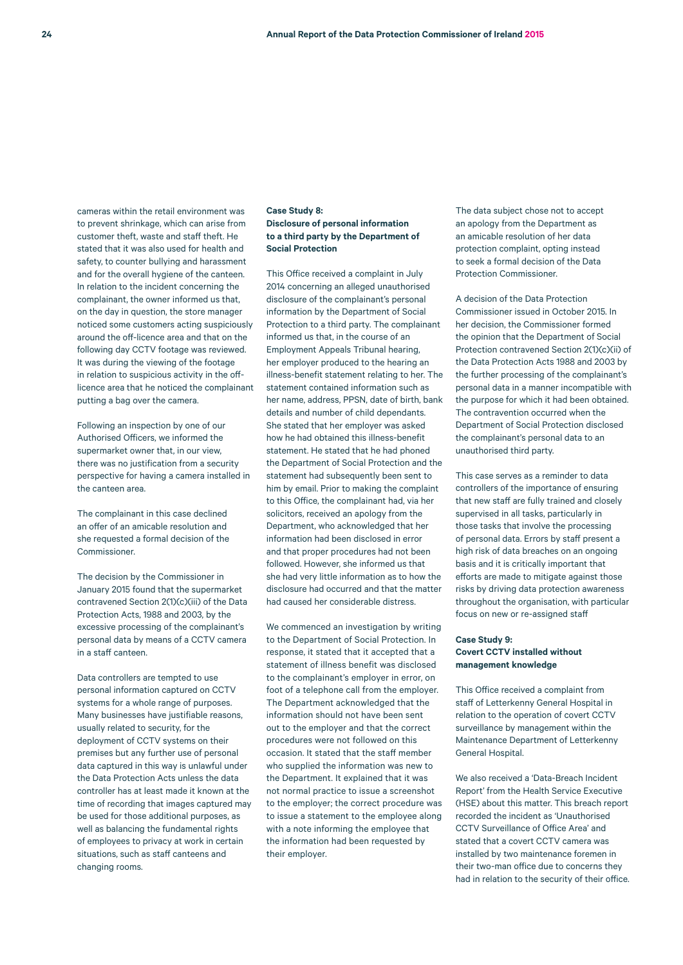cameras within the retail environment was to prevent shrinkage, which can arise from customer theft, waste and staff theft. He stated that it was also used for health and safety, to counter bullying and harassment and for the overall hygiene of the canteen. In relation to the incident concerning the complainant, the owner informed us that, on the day in question, the store manager noticed some customers acting suspiciously around the off-licence area and that on the following day CCTV footage was reviewed. It was during the viewing of the footage in relation to suspicious activity in the offlicence area that he noticed the complainant putting a bag over the camera.

Following an inspection by one of our Authorised Officers, we informed the supermarket owner that, in our view, there was no justification from a security perspective for having a camera installed in the canteen area.

The complainant in this case declined an offer of an amicable resolution and she requested a formal decision of the Commissioner.

The decision by the Commissioner in January 2015 found that the supermarket contravened Section 2(1)(c)(iii) of the Data Protection Acts, 1988 and 2003, by the excessive processing of the complainant's personal data by means of a CCTV camera in a staff canteen.

Data controllers are tempted to use personal information captured on CCTV systems for a whole range of purposes. Many businesses have justifiable reasons, usually related to security, for the deployment of CCTV systems on their premises but any further use of personal data captured in this way is unlawful under the Data Protection Acts unless the data controller has at least made it known at the time of recording that images captured may be used for those additional purposes, as well as balancing the fundamental rights of employees to privacy at work in certain situations, such as staff canteens and changing rooms.

### **Case Study 8: Disclosure of personal information to a third party by the Department of Social Protection**

This Office received a complaint in July 2014 concerning an alleged unauthorised disclosure of the complainant's personal information by the Department of Social Protection to a third party. The complainant informed us that, in the course of an Employment Appeals Tribunal hearing, her employer produced to the hearing an illness-benefit statement relating to her. The statement contained information such as her name, address, PPSN, date of birth, bank details and number of child dependants. She stated that her employer was asked how he had obtained this illness-benefit statement. He stated that he had phoned the Department of Social Protection and the statement had subsequently been sent to him by email. Prior to making the complaint to this Office, the complainant had, via her solicitors, received an apology from the Department, who acknowledged that her information had been disclosed in error and that proper procedures had not been followed. However, she informed us that she had very little information as to how the disclosure had occurred and that the matter had caused her considerable distress.

We commenced an investigation by writing to the Department of Social Protection. In response, it stated that it accepted that a statement of illness benefit was disclosed to the complainant's employer in error, on foot of a telephone call from the employer. The Department acknowledged that the information should not have been sent out to the employer and that the correct procedures were not followed on this occasion. It stated that the staff member who supplied the information was new to the Department. It explained that it was not normal practice to issue a screenshot to the employer; the correct procedure was to issue a statement to the employee along with a note informing the employee that the information had been requested by their employer.

The data subject chose not to accept an apology from the Department as an amicable resolution of her data protection complaint, opting instead to seek a formal decision of the Data Protection Commissioner.

A decision of the Data Protection Commissioner issued in October 2015. In her decision, the Commissioner formed the opinion that the Department of Social Protection contravened Section 2(1)(c)(ii) of the Data Protection Acts 1988 and 2003 by the further processing of the complainant's personal data in a manner incompatible with the purpose for which it had been obtained. The contravention occurred when the Department of Social Protection disclosed the complainant's personal data to an unauthorised third party.

This case serves as a reminder to data controllers of the importance of ensuring that new staff are fully trained and closely supervised in all tasks, particularly in those tasks that involve the processing of personal data. Errors by staff present a high risk of data breaches on an ongoing basis and it is critically important that efforts are made to mitigate against those risks by driving data protection awareness throughout the organisation, with particular focus on new or re-assigned staff

### **Case Study 9: Covert CCTV installed without management knowledge**

This Office received a complaint from staff of Letterkenny General Hospital in relation to the operation of covert CCTV surveillance by management within the Maintenance Department of Letterkenny General Hospital.

We also received a 'Data-Breach Incident Report' from the Health Service Executive (HSE) about this matter. This breach report recorded the incident as 'Unauthorised CCTV Surveillance of Office Area' and stated that a covert CCTV camera was installed by two maintenance foremen in their two-man office due to concerns they had in relation to the security of their office.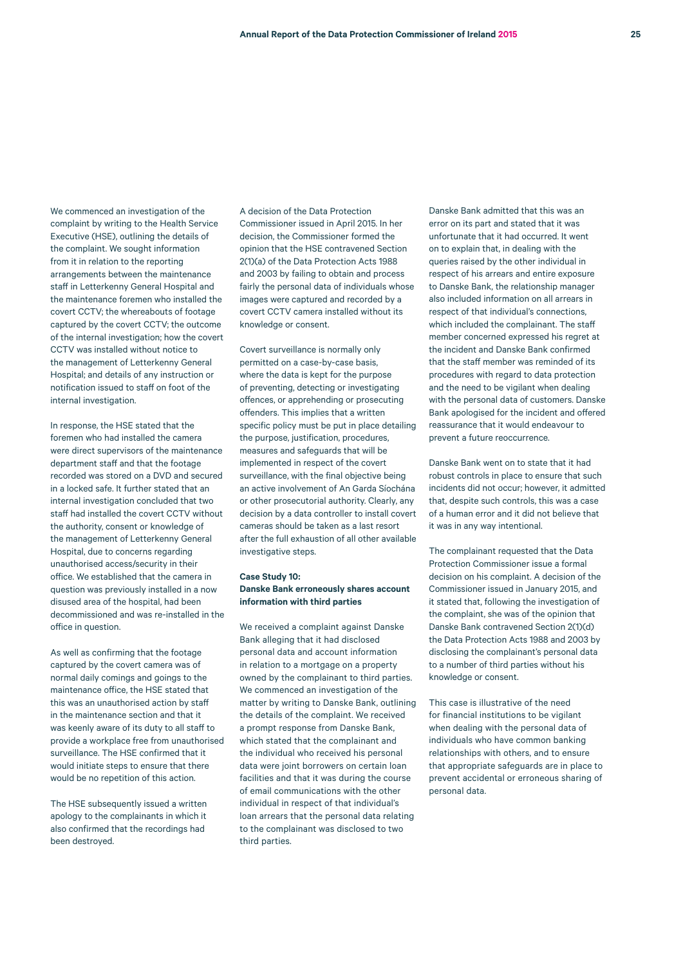We commenced an investigation of the complaint by writing to the Health Service Executive (HSE), outlining the details of the complaint. We sought information from it in relation to the reporting arrangements between the maintenance staff in Letterkenny General Hospital and the maintenance foremen who installed the covert CCTV; the whereabouts of footage captured by the covert CCTV; the outcome of the internal investigation; how the covert CCTV was installed without notice to the management of Letterkenny General Hospital; and details of any instruction or notification issued to staff on foot of the internal investigation.

In response, the HSE stated that the foremen who had installed the camera were direct supervisors of the maintenance department staff and that the footage recorded was stored on a DVD and secured in a locked safe. It further stated that an internal investigation concluded that two staff had installed the covert CCTV without the authority, consent or knowledge of the management of Letterkenny General Hospital, due to concerns regarding unauthorised access/security in their office. We established that the camera in question was previously installed in a now disused area of the hospital, had been decommissioned and was re-installed in the office in question.

As well as confirming that the footage captured by the covert camera was of normal daily comings and goings to the maintenance office, the HSE stated that this was an unauthorised action by staff in the maintenance section and that it was keenly aware of its duty to all staff to provide a workplace free from unauthorised surveillance. The HSE confirmed that it would initiate steps to ensure that there would be no repetition of this action.

The HSE subsequently issued a written apology to the complainants in which it also confirmed that the recordings had been destroyed.

A decision of the Data Protection Commissioner issued in April 2015. In her decision, the Commissioner formed the opinion that the HSE contravened Section 2(1)(a) of the Data Protection Acts 1988 and 2003 by failing to obtain and process fairly the personal data of individuals whose images were captured and recorded by a covert CCTV camera installed without its knowledge or consent.

Covert surveillance is normally only permitted on a case-by-case basis, where the data is kept for the purpose of preventing, detecting or investigating offences, or apprehending or prosecuting offenders. This implies that a written specific policy must be put in place detailing the purpose, justification, procedures, measures and safeguards that will be implemented in respect of the covert surveillance, with the final objective being an active involvement of An Garda Síochána or other prosecutorial authority. Clearly, any decision by a data controller to install covert cameras should be taken as a last resort after the full exhaustion of all other available investigative steps.

### **Case Study 10: Danske Bank erroneously shares account information with third parties**

We received a complaint against Danske Bank alleging that it had disclosed personal data and account information in relation to a mortgage on a property owned by the complainant to third parties. We commenced an investigation of the matter by writing to Danske Bank, outlining the details of the complaint. We received a prompt response from Danske Bank, which stated that the complainant and the individual who received his personal data were joint borrowers on certain loan facilities and that it was during the course of email communications with the other individual in respect of that individual's loan arrears that the personal data relating to the complainant was disclosed to two third parties.

Danske Bank admitted that this was an error on its part and stated that it was unfortunate that it had occurred. It went on to explain that, in dealing with the queries raised by the other individual in respect of his arrears and entire exposure to Danske Bank, the relationship manager also included information on all arrears in respect of that individual's connections, which included the complainant. The staff member concerned expressed his regret at the incident and Danske Bank confirmed that the staff member was reminded of its procedures with regard to data protection and the need to be vigilant when dealing with the personal data of customers. Danske Bank apologised for the incident and offered reassurance that it would endeavour to prevent a future reoccurrence.

Danske Bank went on to state that it had robust controls in place to ensure that such incidents did not occur; however, it admitted that, despite such controls, this was a case of a human error and it did not believe that it was in any way intentional.

The complainant requested that the Data Protection Commissioner issue a formal decision on his complaint. A decision of the Commissioner issued in January 2015, and it stated that, following the investigation of the complaint, she was of the opinion that Danske Bank contravened Section 2(1)(d) the Data Protection Acts 1988 and 2003 by disclosing the complainant's personal data to a number of third parties without his knowledge or consent.

This case is illustrative of the need for financial institutions to be vigilant when dealing with the personal data of individuals who have common banking relationships with others, and to ensure that appropriate safeguards are in place to prevent accidental or erroneous sharing of personal data.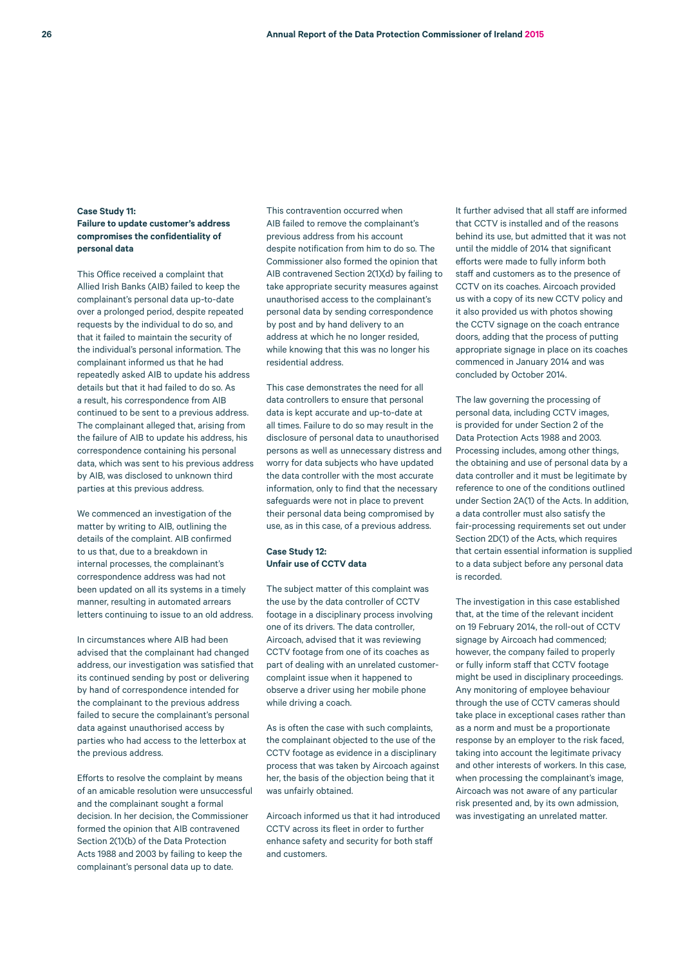# **Case Study 11: Failure to update customer's address compromises the confidentiality of personal data**

This Office received a complaint that Allied Irish Banks (AIB) failed to keep the complainant's personal data up-to-date over a prolonged period, despite repeated requests by the individual to do so, and that it failed to maintain the security of the individual's personal information. The complainant informed us that he had repeatedly asked AIB to update his address details but that it had failed to do so. As a result, his correspondence from AIB continued to be sent to a previous address. The complainant alleged that, arising from the failure of AIB to update his address, his correspondence containing his personal data, which was sent to his previous address by AIB, was disclosed to unknown third parties at this previous address.

We commenced an investigation of the matter by writing to AIB, outlining the details of the complaint. AIB confirmed to us that, due to a breakdown in internal processes, the complainant's correspondence address was had not been updated on all its systems in a timely manner, resulting in automated arrears letters continuing to issue to an old address.

In circumstances where AIB had been advised that the complainant had changed address, our investigation was satisfied that its continued sending by post or delivering by hand of correspondence intended for the complainant to the previous address failed to secure the complainant's personal data against unauthorised access by parties who had access to the letterbox at the previous address.

Efforts to resolve the complaint by means of an amicable resolution were unsuccessful and the complainant sought a formal decision. In her decision, the Commissioner formed the opinion that AIB contravened Section 2(1)(b) of the Data Protection Acts 1988 and 2003 by failing to keep the complainant's personal data up to date.

This contravention occurred when AIB failed to remove the complainant's previous address from his account despite notification from him to do so. The Commissioner also formed the opinion that AIB contravened Section 2(1)(d) by failing to take appropriate security measures against unauthorised access to the complainant's personal data by sending correspondence by post and by hand delivery to an address at which he no longer resided, while knowing that this was no longer his residential address.

This case demonstrates the need for all data controllers to ensure that personal data is kept accurate and up-to-date at all times. Failure to do so may result in the disclosure of personal data to unauthorised persons as well as unnecessary distress and worry for data subjects who have updated the data controller with the most accurate information, only to find that the necessary safeguards were not in place to prevent their personal data being compromised by use, as in this case, of a previous address.

# **Case Study 12: Unfair use of CCTV data**

The subject matter of this complaint was the use by the data controller of CCTV footage in a disciplinary process involving one of its drivers. The data controller, Aircoach, advised that it was reviewing CCTV footage from one of its coaches as part of dealing with an unrelated customercomplaint issue when it happened to observe a driver using her mobile phone while driving a coach.

As is often the case with such complaints, the complainant objected to the use of the CCTV footage as evidence in a disciplinary process that was taken by Aircoach against her, the basis of the objection being that it was unfairly obtained.

Aircoach informed us that it had introduced CCTV across its fleet in order to further enhance safety and security for both staff and customers.

It further advised that all staff are informed that CCTV is installed and of the reasons behind its use, but admitted that it was not until the middle of 2014 that significant efforts were made to fully inform both staff and customers as to the presence of CCTV on its coaches. Aircoach provided us with a copy of its new CCTV policy and it also provided us with photos showing the CCTV signage on the coach entrance doors, adding that the process of putting appropriate signage in place on its coaches commenced in January 2014 and was concluded by October 2014.

The law governing the processing of personal data, including CCTV images, is provided for under Section 2 of the Data Protection Acts 1988 and 2003. Processing includes, among other things, the obtaining and use of personal data by a data controller and it must be legitimate by reference to one of the conditions outlined under Section 2A(1) of the Acts. In addition, a data controller must also satisfy the fair-processing requirements set out under Section 2D(1) of the Acts, which requires that certain essential information is supplied to a data subject before any personal data is recorded.

The investigation in this case established that, at the time of the relevant incident on 19 February 2014, the roll-out of CCTV signage by Aircoach had commenced; however, the company failed to properly or fully inform staff that CCTV footage might be used in disciplinary proceedings. Any monitoring of employee behaviour through the use of CCTV cameras should take place in exceptional cases rather than as a norm and must be a proportionate response by an employer to the risk faced, taking into account the legitimate privacy and other interests of workers. In this case, when processing the complainant's image, Aircoach was not aware of any particular risk presented and, by its own admission, was investigating an unrelated matter.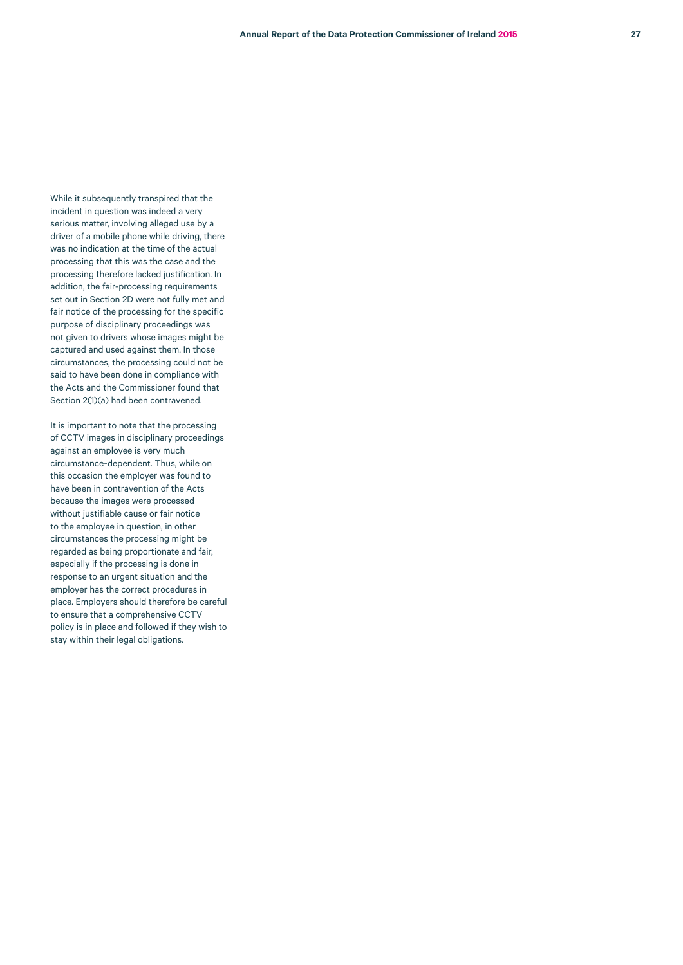While it subsequently transpired that the incident in question was indeed a very serious matter, involving alleged use by a driver of a mobile phone while driving, there was no indication at the time of the actual processing that this was the case and the processing therefore lacked justification. In addition, the fair-processing requirements set out in Section 2D were not fully met and fair notice of the processing for the specific purpose of disciplinary proceedings was not given to drivers whose images might be captured and used against them. In those circumstances, the processing could not be said to have been done in compliance with the Acts and the Commissioner found that Section 2(1)(a) had been contravened.

It is important to note that the processing of CCTV images in disciplinary proceedings against an employee is very much circumstance-dependent. Thus, while on this occasion the employer was found to have been in contravention of the Acts because the images were processed without justifiable cause or fair notice to the employee in question, in other circumstances the processing might be regarded as being proportionate and fair, especially if the processing is done in response to an urgent situation and the employer has the correct procedures in place. Employers should therefore be careful to ensure that a comprehensive CCTV policy is in place and followed if they wish to stay within their legal obligations.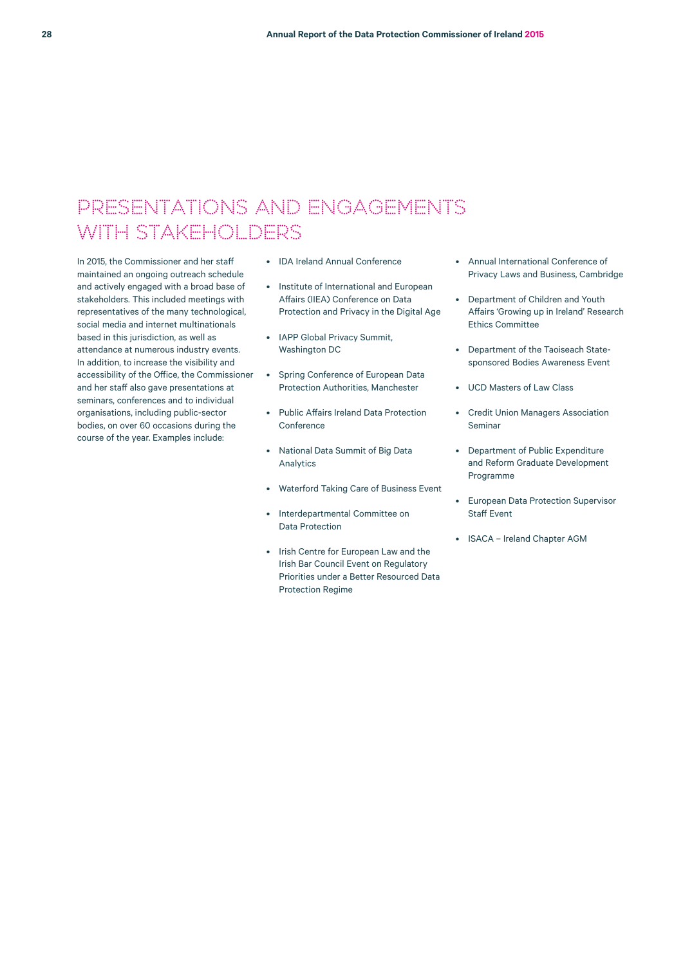# PRESENTATIONS AND ENGAGEMENTS WITH STAKEHOLDERS

In 2015, the Commissioner and her staff maintained an ongoing outreach schedule and actively engaged with a broad base of stakeholders. This included meetings with representatives of the many technological, social media and internet multinationals based in this jurisdiction, as well as attendance at numerous industry events. In addition, to increase the visibility and accessibility of the Office, the Commissioner and her staff also gave presentations at seminars, conferences and to individual organisations, including public-sector bodies, on over 60 occasions during the course of the year. Examples include:

- IDA Ireland Annual Conference
- Institute of International and European Affairs (IIEA) Conference on Data Protection and Privacy in the Digital Age
- IAPP Global Privacy Summit, Washington DC
- Spring Conference of European Data Protection Authorities, Manchester
- Public Affairs Ireland Data Protection Conference
- National Data Summit of Big Data Analytics
- Waterford Taking Care of Business Event
- Interdepartmental Committee on Data Protection
- Irish Centre for European Law and the Irish Bar Council Event on Regulatory Priorities under a Better Resourced Data Protection Regime
- Annual International Conference of Privacy Laws and Business, Cambridge
- Department of Children and Youth Affairs 'Growing up in Ireland' Research Ethics Committee
- Department of the Taoiseach Statesponsored Bodies Awareness Event
- UCD Masters of Law Class
- Credit Union Managers Association Seminar
- Department of Public Expenditure and Reform Graduate Development Programme
- European Data Protection Supervisor Staff Event
- ISACA Ireland Chapter AGM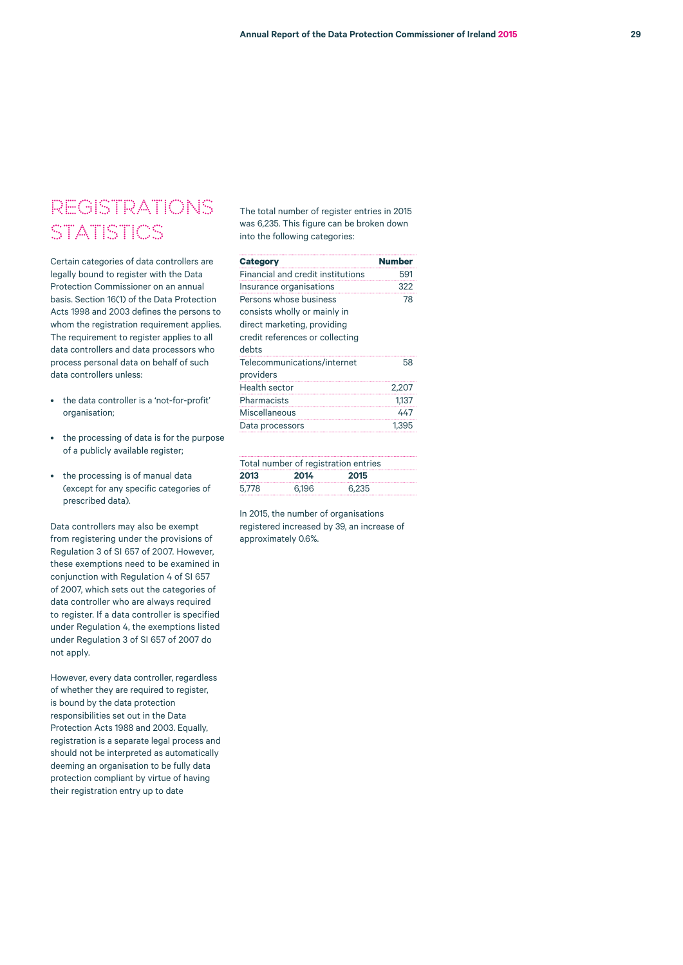# REGISTRATIONS **STATISTICS**

Certain categories of data controllers are legally bound to register with the Data Protection Commissioner on an annual basis. Section 16(1) of the Data Protection Acts 1998 and 2003 defines the persons to whom the registration requirement applies. The requirement to register applies to all data controllers and data processors who process personal data on behalf of such data controllers unless:

- the data controller is a 'not-for-profit' organisation;
- the processing of data is for the purpose of a publicly available register;
- the processing is of manual data (except for any specific categories of prescribed data).

Data controllers may also be exempt from registering under the provisions of Regulation 3 of SI 657 of 2007. However, these exemptions need to be examined in conjunction with Regulation 4 of SI 657 of 2007, which sets out the categories of data controller who are always required to register. If a data controller is specified under Regulation 4, the exemptions listed under Regulation 3 of SI 657 of 2007 do not apply.

However, every data controller, regardless of whether they are required to register, is bound by the data protection responsibilities set out in the Data Protection Acts 1988 and 2003. Equally, registration is a separate legal process and should not be interpreted as automatically deeming an organisation to be fully data protection compliant by virtue of having their registration entry up to date

The total number of register entries in 2015 was 6,235. This figure can be broken down into the following categories:

| <b>Category</b>                          | <b>Number</b> |
|------------------------------------------|---------------|
| <b>Financial and credit institutions</b> | 591           |
| Insurance organisations                  | 322           |
| Persons whose business                   | 78            |
| consists wholly or mainly in             |               |
| direct marketing, providing              |               |
| credit references or collecting          |               |
| debts                                    |               |
| Telecommunications/internet              | 58            |
| providers                                |               |
| <b>Health sector</b>                     | 2.207         |
| Pharmacists                              | 1.137         |
| Miscellaneous                            | 447           |
| Data processors                          | 1.395         |
|                                          |               |

| Total number of registration entries |       |       |
|--------------------------------------|-------|-------|
| 2013                                 | 2014  | 2015  |
| 5.778                                | 6.196 | 6.235 |

In 2015, the number of organisations registered increased by 39, an increase of approximately 0.6%.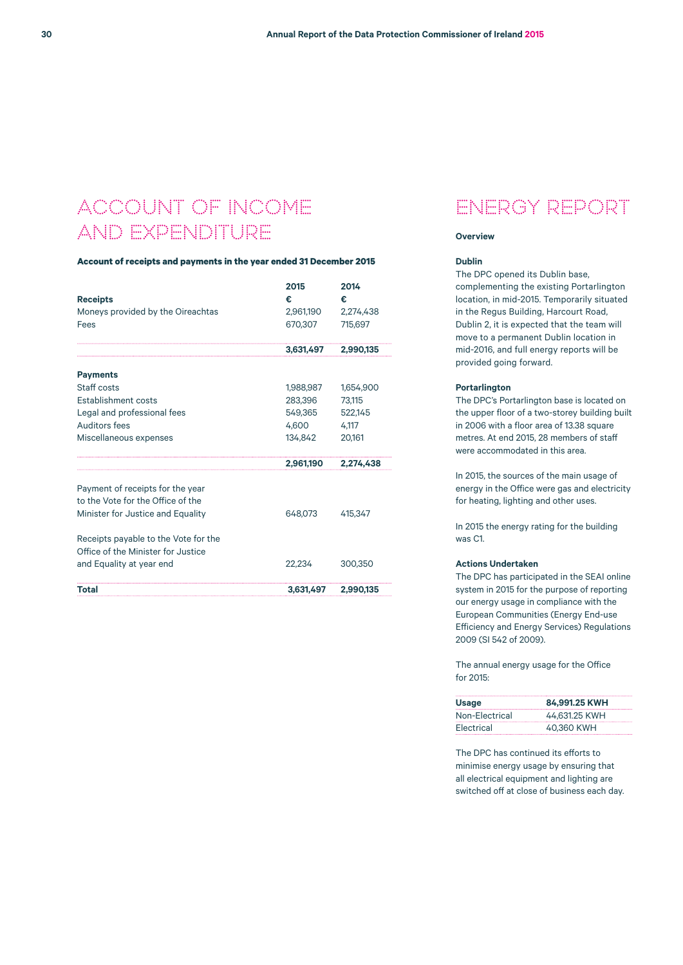# ACCOUNT OF INCOME AND EXPENDITURE

# **Account of receipts and payments in the year ended 31 December 2015**

|                                      | 2015      | 2014      |
|--------------------------------------|-----------|-----------|
| <b>Receipts</b>                      | €         | €         |
| Moneys provided by the Oireachtas    | 2,961,190 | 2,274,438 |
| Fees                                 | 670,307   | 715.697   |
|                                      | 3.631.497 | 2.990.135 |
| <b>Payments</b>                      |           |           |
| Staff costs                          | 1,988,987 | 1,654,900 |
| Establishment costs                  | 283.396   | 73.115    |
| Legal and professional fees          | 549,365   | 522,145   |
| Auditors fees                        | 4,600     | 4,117     |
| Miscellaneous expenses               | 134.842   | 20.161    |
|                                      | 2,961,190 | 2,274,438 |
| Payment of receipts for the year     |           |           |
| to the Vote for the Office of the    |           |           |
| Minister for Justice and Equality    | 648.073   | 415.347   |
| Receipts payable to the Vote for the |           |           |
| Office of the Minister for Justice   |           |           |
| and Equality at year end             | 22.234    | 300,350   |
| Total                                | 3,631,497 | 2,990,135 |

# ENERGY REPORT

#### **Overview**

### **Dublin**

The DPC opened its Dublin base, complementing the existing Portarlington location, in mid-2015. Temporarily situated in the Regus Building, Harcourt Road, Dublin 2, it is expected that the team will move to a permanent Dublin location in mid-2016, and full energy reports will be provided going forward.

#### **Portarlington**

The DPC's Portarlington base is located on the upper floor of a two-storey building built in 2006 with a floor area of 13.38 square metres. At end 2015, 28 members of staff were accommodated in this area.

In 2015, the sources of the main usage of energy in the Office were gas and electricity for heating, lighting and other uses.

In 2015 the energy rating for the building was C1.

### **Actions Undertaken**

The DPC has participated in the SEAI online system in 2015 for the purpose of reporting our energy usage in compliance with the European Communities (Energy End-use Efficiency and Energy Services) Regulations 2009 (SI 542 of 2009).

The annual energy usage for the Office for 2015:

| Usage          | 84.991.25 KWH |
|----------------|---------------|
| Non-Electrical | 44.631.25 KWH |
| Electrical     | 40.360 KWH    |

The DPC has continued its efforts to minimise energy usage by ensuring that all electrical equipment and lighting are switched off at close of business each day.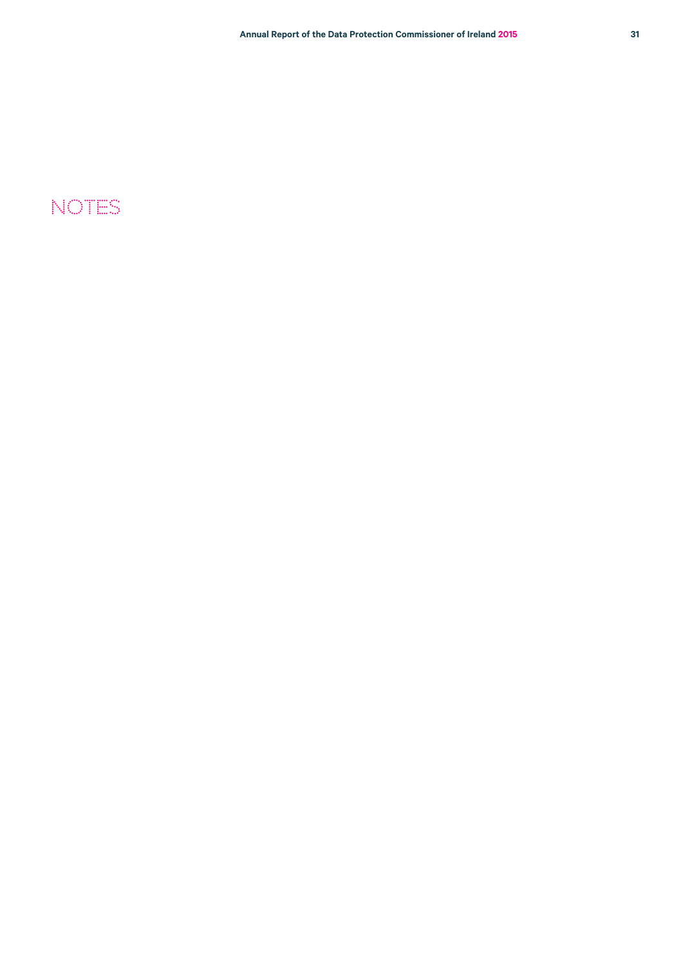# NOTES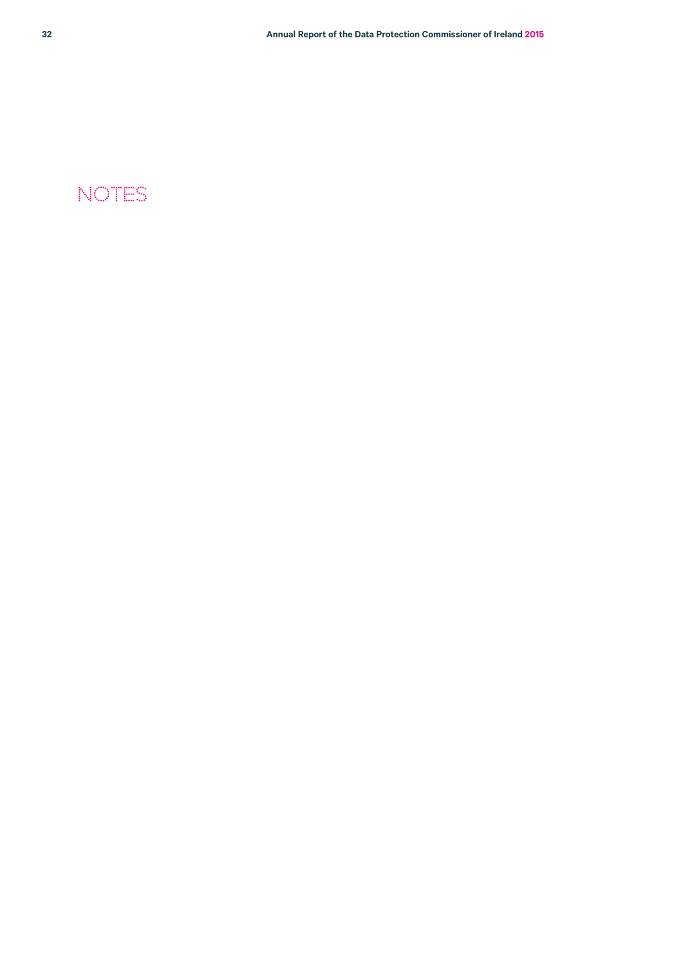# NOTES